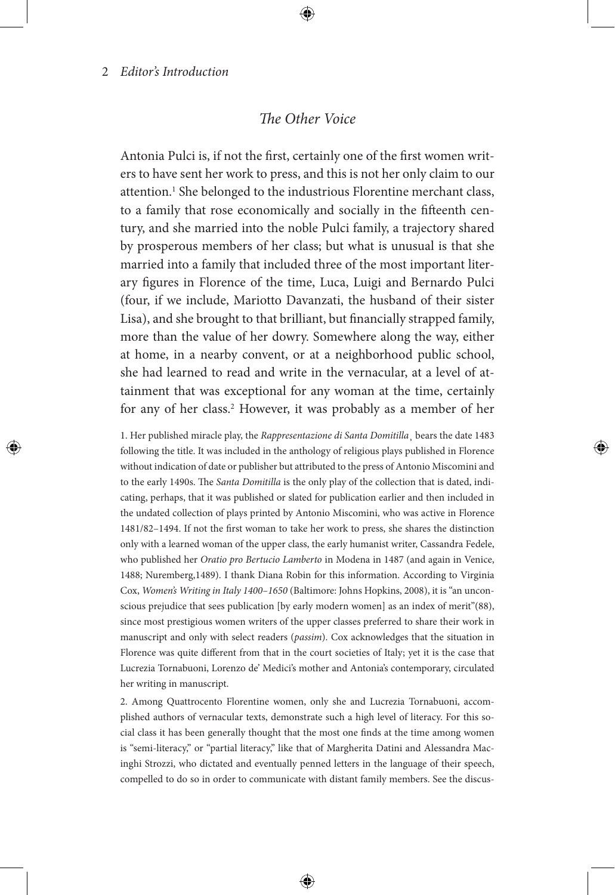# *The Other Voice*

Antonia Pulci is, if not the first, certainly one of the first women writers to have sent her work to press, and this is not her only claim to our attention.<sup>1</sup> She belonged to the industrious Florentine merchant class, to a family that rose economically and socially in the fifteenth century, and she married into the noble Pulci family, a trajectory shared by prosperous members of her class; but what is unusual is that she married into a family that included three of the most important literary figures in Florence of the time, Luca, Luigi and Bernardo Pulci (four, if we include, Mariotto Davanzati, the husband of their sister Lisa), and she brought to that brilliant, but financially strapped family, more than the value of her dowry. Somewhere along the way, either at home, in a nearby convent, or at a neighborhood public school, she had learned to read and write in the vernacular, at a level of attainment that was exceptional for any woman at the time, certainly for any of her class.<sup>2</sup> However, it was probably as a member of her

1. Her published miracle play, the *Rappresentazione di Santa Domitilla*¸ bears the date 1483 following the title. It was included in the anthology of religious plays published in Florence without indication of date or publisher but attributed to the press of Antonio Miscomini and to the early 1490s. The *Santa Domitilla* is the only play of the collection that is dated, indicating, perhaps, that it was published or slated for publication earlier and then included in the undated collection of plays printed by Antonio Miscomini, who was active in Florence 1481/82–1494. If not the first woman to take her work to press, she shares the distinction only with a learned woman of the upper class, the early humanist writer, Cassandra Fedele, who published her *Oratio pro Bertucio Lamberto* in Modena in 1487 (and again in Venice, 1488; Nuremberg,1489). I thank Diana Robin for this information. According to Virginia Cox, *Women's Writing in Italy 1400–1650* (Baltimore: Johns Hopkins, 2008), it is "an unconscious prejudice that sees publication [by early modern women] as an index of merit"(88), since most prestigious women writers of the upper classes preferred to share their work in manuscript and only with select readers (*passim*). Cox acknowledges that the situation in Florence was quite different from that in the court societies of Italy; yet it is the case that Lucrezia Tornabuoni, Lorenzo de' Medici's mother and Antonia's contemporary, circulated her writing in manuscript.

2. Among Quattrocento Florentine women, only she and Lucrezia Tornabuoni, accomplished authors of vernacular texts, demonstrate such a high level of literacy. For this social class it has been generally thought that the most one finds at the time among women is "semi-literacy," or "partial literacy," like that of Margherita Datini and Alessandra Macinghi Strozzi, who dictated and eventually penned letters in the language of their speech, compelled to do so in order to communicate with distant family members. See the discus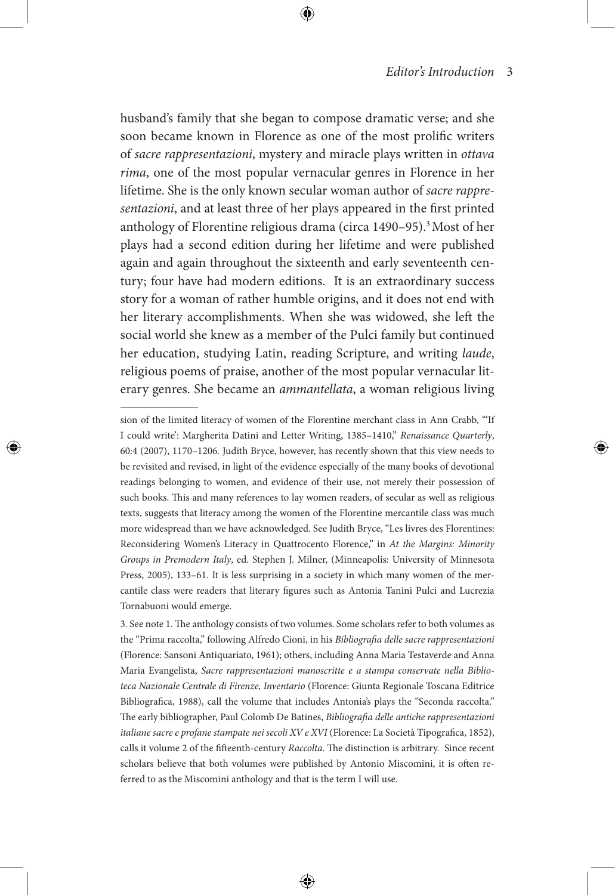husband's family that she began to compose dramatic verse; and she soon became known in Florence as one of the most prolific writers of *sacre rappresentazioni*, mystery and miracle plays written in *ottava rima*, one of the most popular vernacular genres in Florence in her lifetime. She is the only known secular woman author of *sacre rappresentazioni*, and at least three of her plays appeared in the first printed anthology of Florentine religious drama (circa 1490–95).3 Most of her plays had a second edition during her lifetime and were published again and again throughout the sixteenth and early seventeenth century; four have had modern editions. It is an extraordinary success story for a woman of rather humble origins, and it does not end with her literary accomplishments. When she was widowed, she left the social world she knew as a member of the Pulci family but continued her education, studying Latin, reading Scripture, and writing *laude*, religious poems of praise, another of the most popular vernacular literary genres. She became an *ammantellata*, a woman religious living

sion of the limited literacy of women of the Florentine merchant class in Ann Crabb, "'If I could write': Margherita Datini and Letter Writing, 1385–1410," *Renaissance Quarterly*, 60:4 (2007), 1170–1206. Judith Bryce, however, has recently shown that this view needs to be revisited and revised, in light of the evidence especially of the many books of devotional readings belonging to women, and evidence of their use, not merely their possession of such books. This and many references to lay women readers, of secular as well as religious texts, suggests that literacy among the women of the Florentine mercantile class was much more widespread than we have acknowledged. See Judith Bryce, "Les livres des Florentines: Reconsidering Women's Literacy in Quattrocento Florence," in *At the Margins: Minority Groups in Premodern Italy*, ed. Stephen J. Milner, (Minneapolis: University of Minnesota Press, 2005), 133–61. It is less surprising in a society in which many women of the mercantile class were readers that literary figures such as Antonia Tanini Pulci and Lucrezia Tornabuoni would emerge.

<sup>3.</sup> See note 1. The anthology consists of two volumes. Some scholars refer to both volumes as the "Prima raccolta," following Alfredo Cioni, in his *Bibliografia delle sacre rappresentazioni* (Florence: Sansoni Antiquariato, 1961); others, including Anna Maria Testaverde and Anna Maria Evangelista, *Sacre rappresentazioni manoscritte e a stampa conservate nella Biblioteca Nazionale Centrale di Firenze, Inventario* (Florence: Giunta Regionale Toscana Editrice Bibliografica, 1988), call the volume that includes Antonia's plays the "Seconda raccolta." The early bibliographer, Paul Colomb De Batines, *Bibliografia delle antiche rappresentazioni italiane sacre e profane stampate nei secoli XV e XVI* (Florence: La Società Tipografica, 1852), calls it volume 2 of the fifteenth-century *Raccolta*. The distinction is arbitrary. Since recent scholars believe that both volumes were published by Antonio Miscomini, it is often referred to as the Miscomini anthology and that is the term I will use.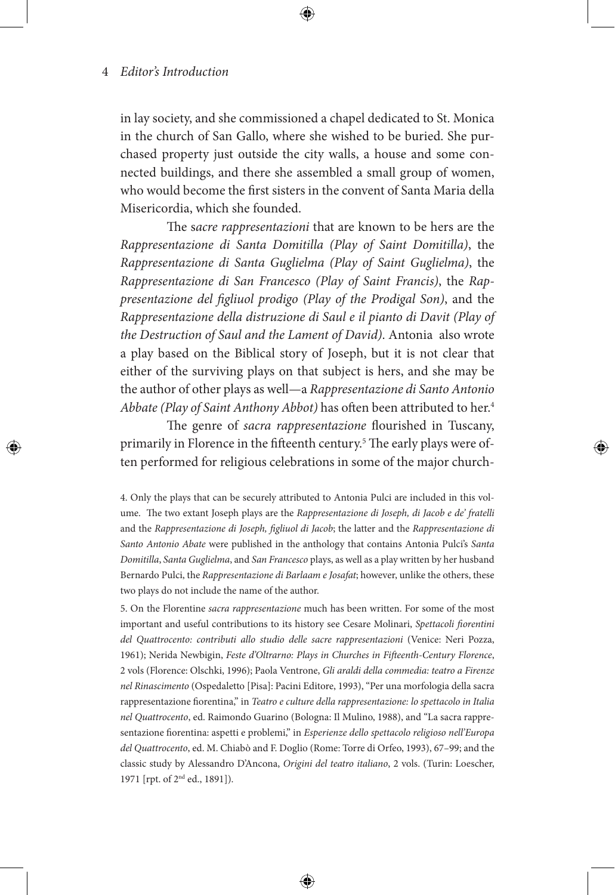in lay society, and she commissioned a chapel dedicated to St. Monica in the church of San Gallo, where she wished to be buried. She purchased property just outside the city walls, a house and some connected buildings, and there she assembled a small group of women, who would become the first sisters in the convent of Santa Maria della Misericordia, which she founded.

The s*acre rappresentazioni* that are known to be hers are the *Rappresentazione di Santa Domitilla (Play of Saint Domitilla)*, the *Rappresentazione di Santa Guglielma (Play of Saint Guglielma)*, the *Rappresentazione di San Francesco (Play of Saint Francis)*, the *Rappresentazione del figliuol prodigo (Play of the Prodigal Son)*, and the *Rappresentazione della distruzione di Saul e il pianto di Davit (Play of the Destruction of Saul and the Lament of David)*. Antonia also wrote a play based on the Biblical story of Joseph, but it is not clear that either of the surviving plays on that subject is hers, and she may be the author of other plays as well—a *Rappresentazione di Santo Antonio Abbate (Play of Saint Anthony Abbot)* has often been attributed to her.4

The genre of *sacra rappresentazione* flourished in Tuscany, primarily in Florence in the fifteenth century.<sup>5</sup> The early plays were often performed for religious celebrations in some of the major church-

4. Only the plays that can be securely attributed to Antonia Pulci are included in this volume. The two extant Joseph plays are the *Rappresentazione di Joseph, di Jacob e de' fratelli*  and the *Rappresentazione di Joseph, figliuol di Jacob*; the latter and the *Rappresentazione di Santo Antonio Abate* were published in the anthology that contains Antonia Pulci's *Santa Domitilla*, *Santa Guglielma*, and *San Francesco* plays, as well as a play written by her husband Bernardo Pulci, the *Rappresentazione di Barlaam e Josafat*; however, unlike the others, these two plays do not include the name of the author.

5. On the Florentine *sacra rappresentazione* much has been written. For some of the most important and useful contributions to its history see Cesare Molinari, *Spettacoli fiorentini del Quattrocento: contributi allo studio delle sacre rappresentazioni* (Venice: Neri Pozza, 1961); Nerida Newbigin, *Feste d'Oltrarno: Plays in Churches in Fifteenth-Century Florence*, 2 vols (Florence: Olschki, 1996); Paola Ventrone, *Gli araldi della commedia: teatro a Firenze nel Rinascimento* (Ospedaletto [Pisa]: Pacini Editore, 1993), "Per una morfologia della sacra rappresentazione fiorentina," in *Teatro e culture della rappresentazione: lo spettacolo in Italia nel Quattrocento*, ed. Raimondo Guarino (Bologna: Il Mulino, 1988), and "La sacra rappresentazione fiorentina: aspetti e problemi," in *Esperienze dello spettacolo religioso nell'Europa del Quattrocento*, ed. M. Chiabò and F. Doglio (Rome: Torre di Orfeo, 1993), 67–99; and the classic study by Alessandro D'Ancona, *Origini del teatro italiano*, 2 vols. (Turin: Loescher, 1971 [rpt. of 2nd ed., 1891]).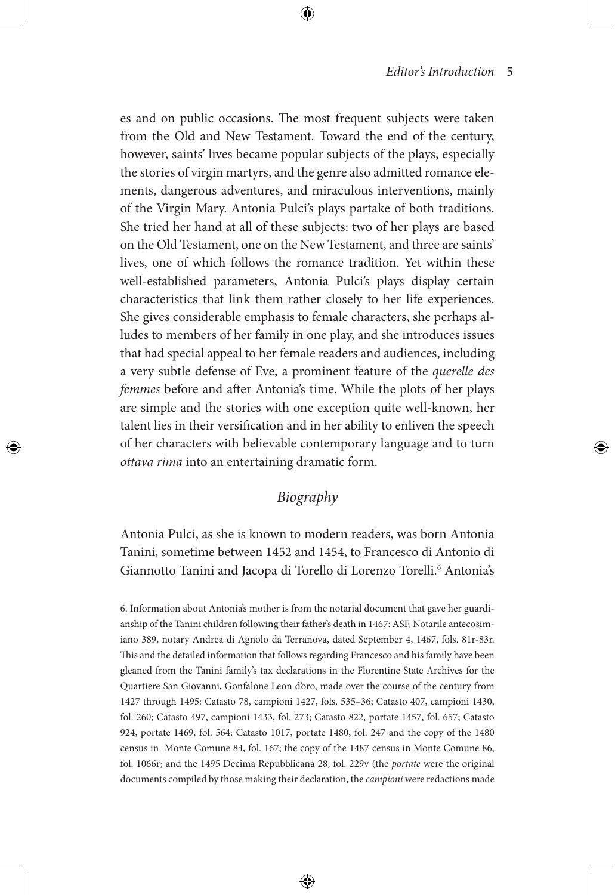es and on public occasions. The most frequent subjects were taken from the Old and New Testament. Toward the end of the century, however, saints' lives became popular subjects of the plays, especially the stories of virgin martyrs, and the genre also admitted romance elements, dangerous adventures, and miraculous interventions, mainly of the Virgin Mary. Antonia Pulci's plays partake of both traditions. She tried her hand at all of these subjects: two of her plays are based on the Old Testament, one on the New Testament, and three are saints' lives, one of which follows the romance tradition. Yet within these well-established parameters, Antonia Pulci's plays display certain characteristics that link them rather closely to her life experiences. She gives considerable emphasis to female characters, she perhaps alludes to members of her family in one play, and she introduces issues that had special appeal to her female readers and audiences, including a very subtle defense of Eve, a prominent feature of the *querelle des femmes* before and after Antonia's time. While the plots of her plays are simple and the stories with one exception quite well-known, her talent lies in their versification and in her ability to enliven the speech of her characters with believable contemporary language and to turn *ottava rima* into an entertaining dramatic form.

# *Biography*

Antonia Pulci, as she is known to modern readers, was born Antonia Tanini, sometime between 1452 and 1454, to Francesco di Antonio di Giannotto Tanini and Jacopa di Torello di Lorenzo Torelli.<sup>6</sup> Antonia's

6. Information about Antonia's mother is from the notarial document that gave her guardianship of the Tanini children following their father's death in 1467: ASF, Notarile antecosimiano 389, notary Andrea di Agnolo da Terranova, dated September 4, 1467, fols. 81r-83r. This and the detailed information that follows regarding Francesco and his family have been gleaned from the Tanini family's tax declarations in the Florentine State Archives for the Quartiere San Giovanni, Gonfalone Leon d'oro, made over the course of the century from 1427 through 1495: Catasto 78, campioni 1427, fols. 535–36; Catasto 407, campioni 1430, fol. 260; Catasto 497, campioni 1433, fol. 273; Catasto 822, portate 1457, fol. 657; Catasto 924, portate 1469, fol. 564; Catasto 1017, portate 1480, fol. 247 and the copy of the 1480 census in Monte Comune 84, fol. 167; the copy of the 1487 census in Monte Comune 86, fol. 1066r; and the 1495 Decima Repubblicana 28, fol. 229v (the *portate* were the original documents compiled by those making their declaration, the *campioni* were redactions made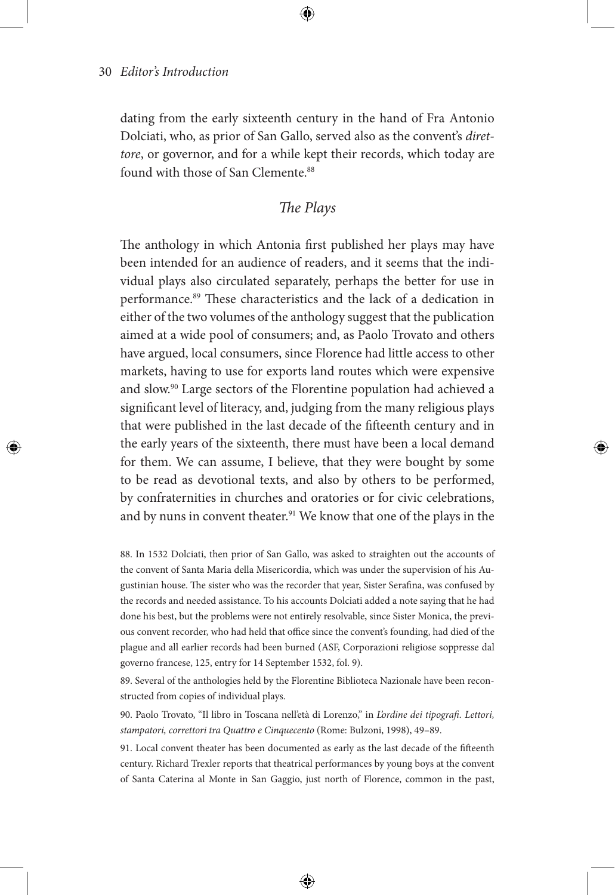dating from the early sixteenth century in the hand of Fra Antonio Dolciati, who, as prior of San Gallo, served also as the convent's *direttore*, or governor, and for a while kept their records, which today are found with those of San Clemente.<sup>88</sup>

# *The Plays*

The anthology in which Antonia first published her plays may have been intended for an audience of readers, and it seems that the individual plays also circulated separately, perhaps the better for use in performance.<sup>89</sup> These characteristics and the lack of a dedication in either of the two volumes of the anthology suggest that the publication aimed at a wide pool of consumers; and, as Paolo Trovato and others have argued, local consumers, since Florence had little access to other markets, having to use for exports land routes which were expensive and slow.90 Large sectors of the Florentine population had achieved a significant level of literacy, and, judging from the many religious plays that were published in the last decade of the fifteenth century and in the early years of the sixteenth, there must have been a local demand for them. We can assume, I believe, that they were bought by some to be read as devotional texts, and also by others to be performed, by confraternities in churches and oratories or for civic celebrations, and by nuns in convent theater.<sup>91</sup> We know that one of the plays in the

88. In 1532 Dolciati, then prior of San Gallo, was asked to straighten out the accounts of the convent of Santa Maria della Misericordia, which was under the supervision of his Augustinian house. The sister who was the recorder that year, Sister Serafina, was confused by the records and needed assistance. To his accounts Dolciati added a note saying that he had done his best, but the problems were not entirely resolvable, since Sister Monica, the previous convent recorder, who had held that office since the convent's founding, had died of the plague and all earlier records had been burned (ASF, Corporazioni religiose soppresse dal governo francese, 125, entry for 14 September 1532, fol. 9).

89. Several of the anthologies held by the Florentine Biblioteca Nazionale have been reconstructed from copies of individual plays.

90. Paolo Trovato, "Il libro in Toscana nell'età di Lorenzo," in *L'ordine dei tipografi. Lettori, stampatori, correttori tra Quattro e Cinquecento* (Rome: Bulzoni, 1998), 49–89.

91. Local convent theater has been documented as early as the last decade of the fifteenth century. Richard Trexler reports that theatrical performances by young boys at the convent of Santa Caterina al Monte in San Gaggio, just north of Florence, common in the past,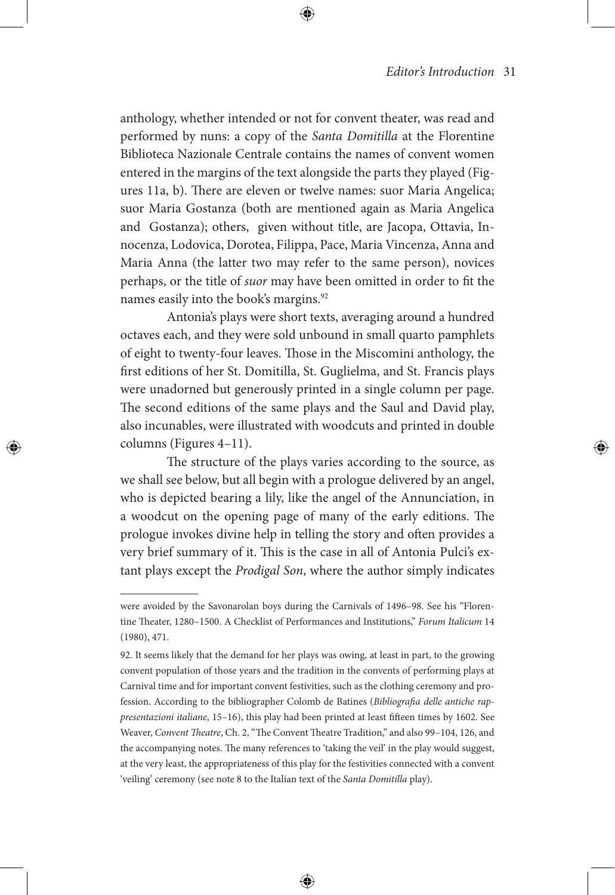anthology, whether intended or not for convent theater, was read and performed by nuns: a copy of the *Santa Domitilla* at the Florentine Biblioteca Nazionale Centrale contains the names of convent women entered in the margins of the text alongside the parts they played (Figures 11a, b). There are eleven or twelve names: suor Maria Angelica; suor Maria Gostanza (both are mentioned again as Maria Angelica and Gostanza); others, given without title, are Jacopa, Ottavia, Innocenza, Lodovica, Dorotea, Filippa, Pace, Maria Vincenza, Anna and Maria Anna (the latter two may refer to the same person), novices perhaps, or the title of *suor* may have been omitted in order to fit the names easily into the book's margins.<sup>92</sup>

Antonia's plays were short texts, averaging around a hundred octaves each, and they were sold unbound in small quarto pamphlets of eight to twenty-four leaves. Those in the Miscomini anthology, the first editions of her St. Domitilla, St. Guglielma, and St. Francis plays were unadorned but generously printed in a single column per page. The second editions of the same plays and the Saul and David play, also incunables, were illustrated with woodcuts and printed in double columns (Figures 4–11).

The structure of the plays varies according to the source, as we shall see below, but all begin with a prologue delivered by an angel, who is depicted bearing a lily, like the angel of the Annunciation, in a woodcut on the opening page of many of the early editions. The prologue invokes divine help in telling the story and often provides a very brief summary of it. This is the case in all of Antonia Pulci's extant plays except the *Prodigal Son*, where the author simply indicates

were avoided by the Savonarolan boys during the Carnivals of 1496–98. See his "Florentine Theater, 1280–1500. A Checklist of Performances and Institutions," *Forum Italicum* 14 (1980), 471.

<sup>92.</sup> It seems likely that the demand for her plays was owing, at least in part, to the growing convent population of those years and the tradition in the convents of performing plays at Carnival time and for important convent festivities, such as the clothing ceremony and profession. According to the bibliographer Colomb de Batines (*Bibliografia delle antiche rappresentazioni italiane*, 15–16), this play had been printed at least fifteen times by 1602. See Weaver, *Convent Theatre*, Ch. 2, "The Convent Theatre Tradition," and also 99–104, 126, and the accompanying notes. The many references to 'taking the veil' in the play would suggest, at the very least, the appropriateness of this play for the festivities connected with a convent 'veiling' ceremony (see note 8 to the Italian text of the *Santa Domitilla* play).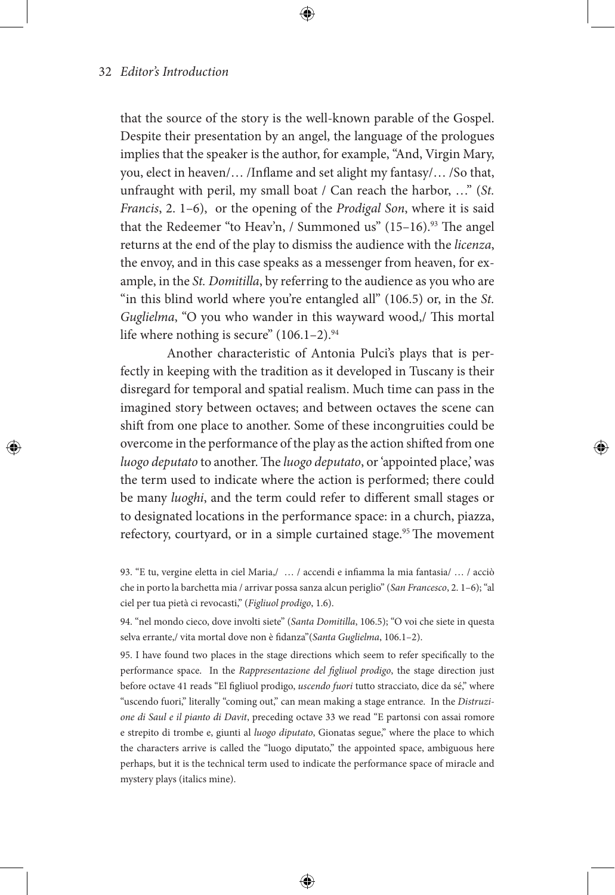that the source of the story is the well-known parable of the Gospel. Despite their presentation by an angel, the language of the prologues implies that the speaker is the author, for example, "And, Virgin Mary, you, elect in heaven/… /Inflame and set alight my fantasy/… /So that, unfraught with peril, my small boat / Can reach the harbor, …" (*St. Francis*, 2. 1–6), or the opening of the *Prodigal Son*, where it is said that the Redeemer "to Heav'n, / Summoned us"  $(15-16)$ .<sup>93</sup> The angel returns at the end of the play to dismiss the audience with the *licenza*, the envoy, and in this case speaks as a messenger from heaven, for example, in the *St. Domitilla*, by referring to the audience as you who are "in this blind world where you're entangled all" (106.5) or, in the *St. Guglielma*, "O you who wander in this wayward wood,/ This mortal life where nothing is secure"  $(106.1-2).$ <sup>94</sup>

Another characteristic of Antonia Pulci's plays that is perfectly in keeping with the tradition as it developed in Tuscany is their disregard for temporal and spatial realism. Much time can pass in the imagined story between octaves; and between octaves the scene can shift from one place to another. Some of these incongruities could be overcome in the performance of the play as the action shifted from one *luogo deputato* to another. The *luogo deputato*, or 'appointed place,' was the term used to indicate where the action is performed; there could be many *luoghi*, and the term could refer to different small stages or to designated locations in the performance space: in a church, piazza, refectory, courtyard, or in a simple curtained stage.<sup>95</sup> The movement

94. "nel mondo cieco, dove involti siete" (*Santa Domitilla*, 106.5); "O voi che siete in questa selva errante,/ vita mortal dove non è fidanza"(*Santa Guglielma*, 106.1–2).

95. I have found two places in the stage directions which seem to refer specifically to the performance space. In the *Rappresentazione del figliuol prodigo*, the stage direction just before octave 41 reads "El figliuol prodigo, *uscendo fuori* tutto stracciato, dice da sé," where "uscendo fuori," literally "coming out," can mean making a stage entrance. In the *Distruzione di Saul e il pianto di Davit*, preceding octave 33 we read "E partonsi con assai romore e strepito di trombe e, giunti al *luogo diputato*, Gionatas segue," where the place to which the characters arrive is called the "luogo diputato," the appointed space, ambiguous here perhaps, but it is the technical term used to indicate the performance space of miracle and mystery plays (italics mine).

<sup>93. &</sup>quot;E tu, vergine eletta in ciel Maria,/ … / accendi e infiamma la mia fantasia/ … / acciò che in porto la barchetta mia / arrivar possa sanza alcun periglio" (*San Francesco*, 2. 1–6); "al ciel per tua pietà ci revocasti," (*Figliuol prodigo*, 1.6).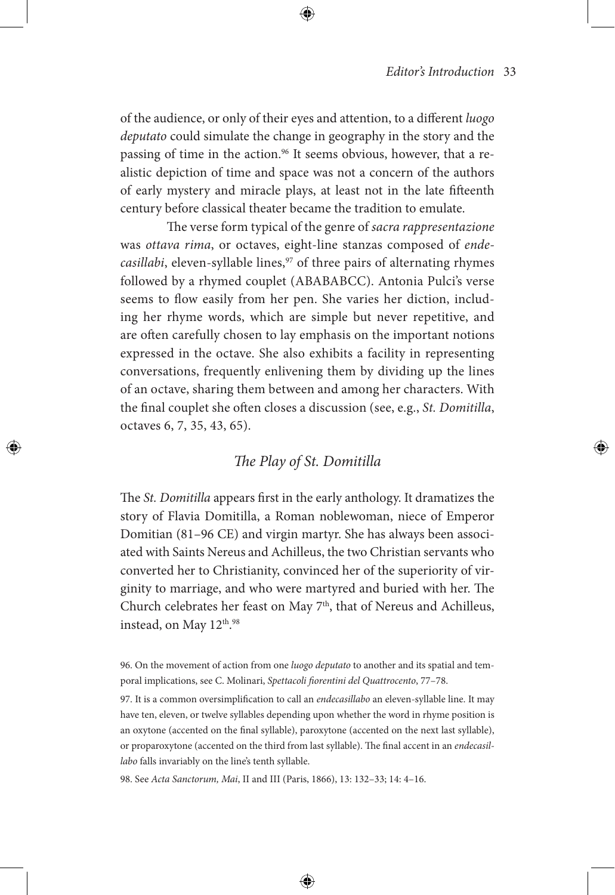of the audience, or only of their eyes and attention, to a different *luogo deputato* could simulate the change in geography in the story and the passing of time in the action.<sup>96</sup> It seems obvious, however, that a realistic depiction of time and space was not a concern of the authors of early mystery and miracle plays, at least not in the late fifteenth century before classical theater became the tradition to emulate.

The verse form typical of the genre of *sacra rappresentazione* was *ottava rima*, or octaves, eight-line stanzas composed of *endecasillabi*, eleven-syllable lines,<sup>97</sup> of three pairs of alternating rhymes followed by a rhymed couplet (ABABABCC). Antonia Pulci's verse seems to flow easily from her pen. She varies her diction, including her rhyme words, which are simple but never repetitive, and are often carefully chosen to lay emphasis on the important notions expressed in the octave. She also exhibits a facility in representing conversations, frequently enlivening them by dividing up the lines of an octave, sharing them between and among her characters. With the final couplet she often closes a discussion (see, e.g., *St. Domitilla*, octaves 6, 7, 35, 43, 65).

# *The Play of St. Domitilla*

The *St. Domitilla* appears first in the early anthology. It dramatizes the story of Flavia Domitilla, a Roman noblewoman, niece of Emperor Domitian (81–96 CE) and virgin martyr. She has always been associated with Saints Nereus and Achilleus, the two Christian servants who converted her to Christianity, convinced her of the superiority of virginity to marriage, and who were martyred and buried with her. The Church celebrates her feast on May 7<sup>th</sup>, that of Nereus and Achilleus, instead, on May 12<sup>th</sup>.<sup>98</sup>

97. It is a common oversimplification to call an *endecasillabo* an eleven-syllable line. It may have ten, eleven, or twelve syllables depending upon whether the word in rhyme position is an oxytone (accented on the final syllable), paroxytone (accented on the next last syllable), or proparoxytone (accented on the third from last syllable). The final accent in an *endecasillabo* falls invariably on the line's tenth syllable.

98. See *Acta Sanctorum, Mai*, II and III (Paris, 1866), 13: 132–33; 14: 4–16.

<sup>96.</sup> On the movement of action from one *luogo deputato* to another and its spatial and temporal implications, see C. Molinari, *Spettacoli fiorentini del Quattrocento*, 77–78.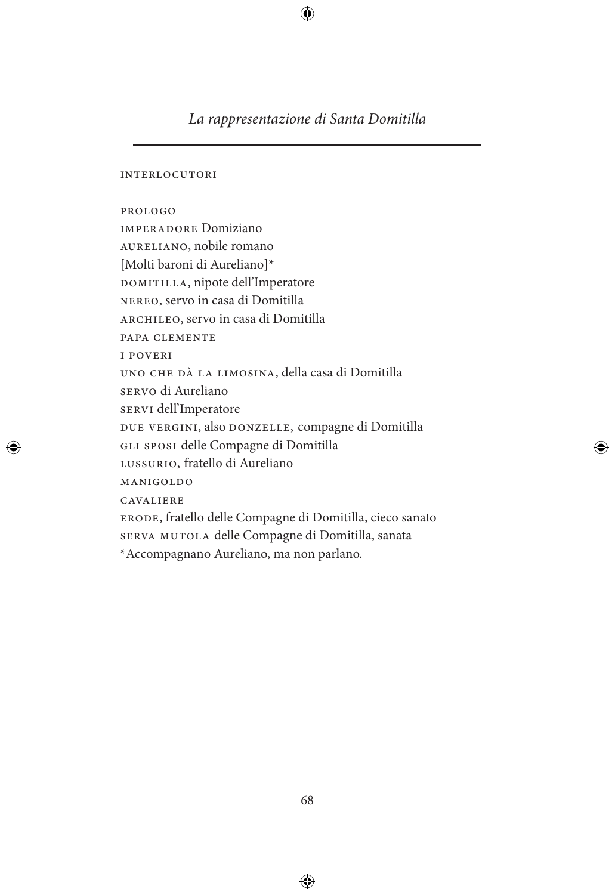# *La rappresentazione di Santa Domitilla*

interlocutori

prologo imperadore Domiziano aureliano, nobile romano [Molti baroni di Aureliano]\* DOMITILLA, nipote dell'Imperatore nereo, servo in casa di Domitilla archileo, servo in casa di Domitilla papa clemente i poveri uno che dà la limosina, della casa di Domitilla servo di Aureliano servi dell'Imperatore due vergini, also donzelle, compagne di Domitilla gli sposi delle Compagne di Domitilla LUSSURIO, fratello di Aureliano manigoldo cavaliere erode, fratello delle Compagne di Domitilla, cieco sanato serva mutola delle Compagne di Domitilla, sanata \*Accompagnano Aureliano, ma non parlano.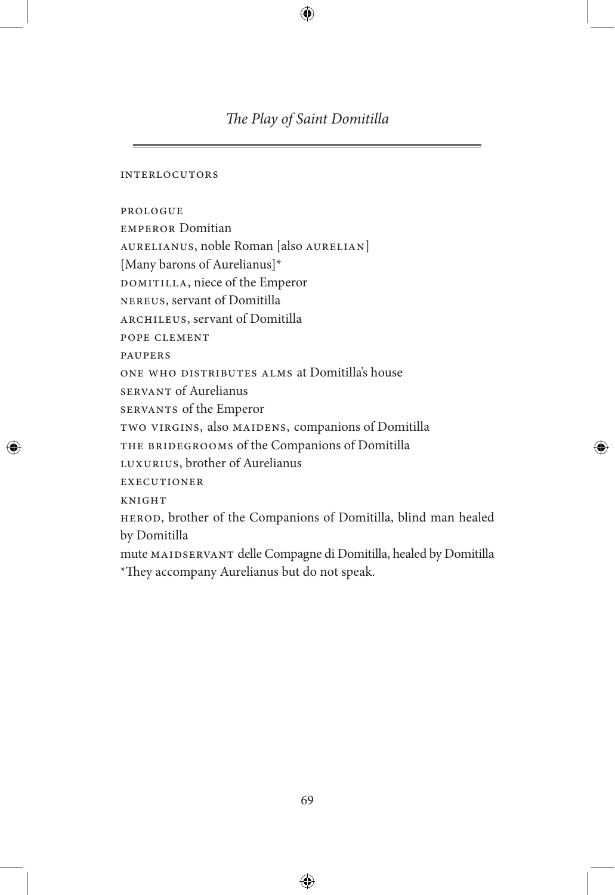# *The Play of Saint Domitilla*

#### interlocutors

prologue

emperor Domitian aurelianus, noble Roman [also aurelian] [Many barons of Aurelianus]\* DOMITILLA, niece of the Emperor nereus, servant of Domitilla archileus, servant of Domitilla pope clement paupers one who distributes alms at Domitilla's house servant of Aurelianus servants of the Emperor two virgins, also maidens, companions of Domitilla THE BRIDEGROOMS of the Companions of Domitilla luxurius, brother of Aurelianus **EXECUTIONER KNIGHT** herod, brother of the Companions of Domitilla, blind man healed by Domitilla mute maidservant delle Compagne di Domitilla, healed by Domitilla \*They accompany Aurelianus but do not speak.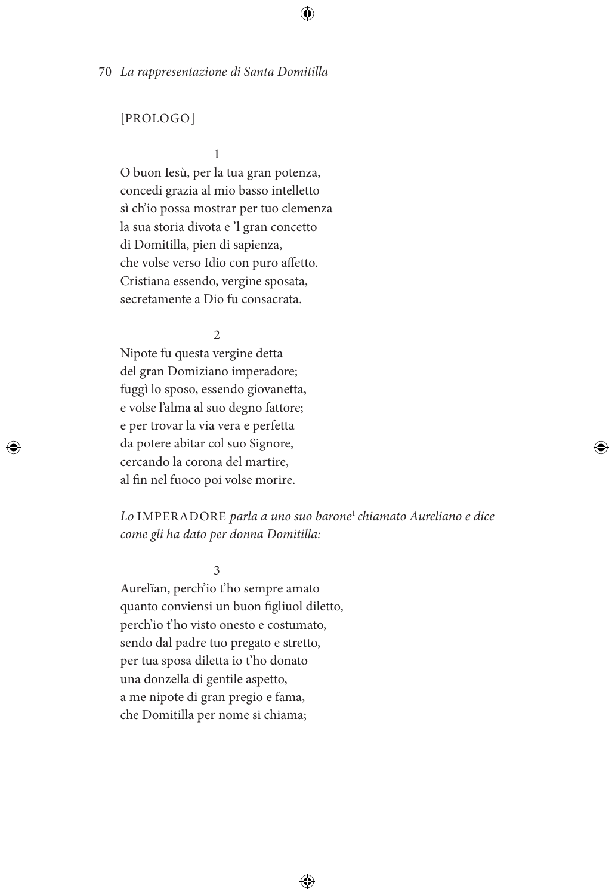# [PROLOGO]

 $1$ 

O buon Iesù, per la tua gran potenza, concedi grazia al mio basso intelletto sì ch'io possa mostrar per tuo clemenza la sua storia divota e 'l gran concetto di Domitilla, pien di sapienza, che volse verso Idio con puro affetto. Cristiana essendo, vergine sposata, secretamente a Dio fu consacrata.

2

Nipote fu questa vergine detta del gran Domiziano imperadore; fuggì lo sposo, essendo giovanetta, e volse l'alma al suo degno fattore; e per trovar la via vera e perfetta da potere abitar col suo Signore, cercando la corona del martire, al fin nel fuoco poi volse morire.

*Lo* IMPERADORE *parla a uno suo barone*<sup>1</sup>*chiamato Aureliano e dice come gli ha dato per donna Domitilla:*

3

Aurelïan, perch'io t'ho sempre amato quanto conviensi un buon figliuol diletto, perch'io t'ho visto onesto e costumato, sendo dal padre tuo pregato e stretto, per tua sposa diletta io t'ho donato una donzella di gentile aspetto, a me nipote di gran pregio e fama, che Domitilla per nome si chiama;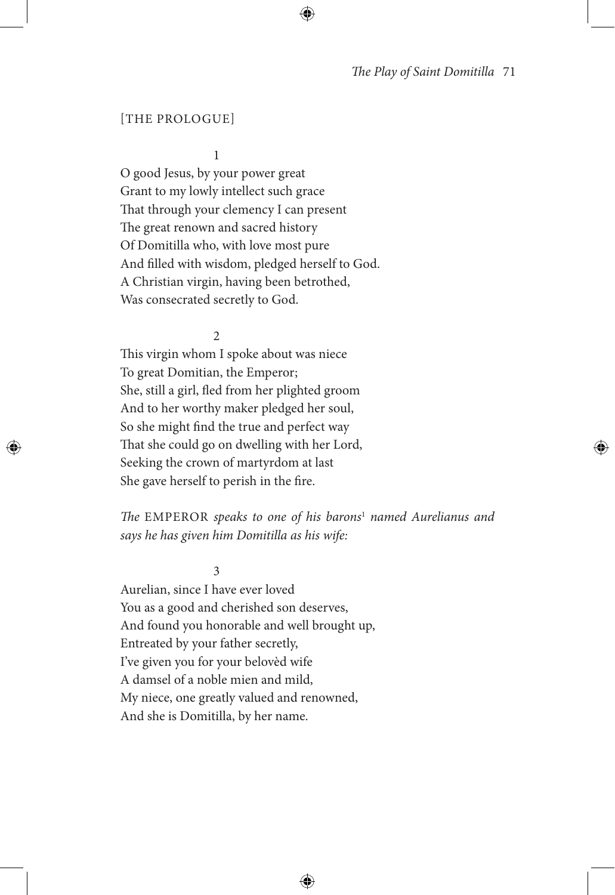### [THE PROLOGUE]

1

O good Jesus, by your power great Grant to my lowly intellect such grace That through your clemency I can present The great renown and sacred history Of Domitilla who, with love most pure And filled with wisdom, pledged herself to God. A Christian virgin, having been betrothed, Was consecrated secretly to God.

 $\mathfrak{D}$ 

This virgin whom I spoke about was niece To great Domitian, the Emperor; She, still a girl, fled from her plighted groom And to her worthy maker pledged her soul, So she might find the true and perfect way That she could go on dwelling with her Lord, Seeking the crown of martyrdom at last She gave herself to perish in the fire.

*The* EMPEROR *speaks to one of his barons*<sup>1</sup> *named Aurelianus and says he has given him Domitilla as his wife:*

3

Aurelian, since I have ever loved You as a good and cherished son deserves, And found you honorable and well brought up, Entreated by your father secretly, I've given you for your belovèd wife A damsel of a noble mien and mild, My niece, one greatly valued and renowned, And she is Domitilla, by her name.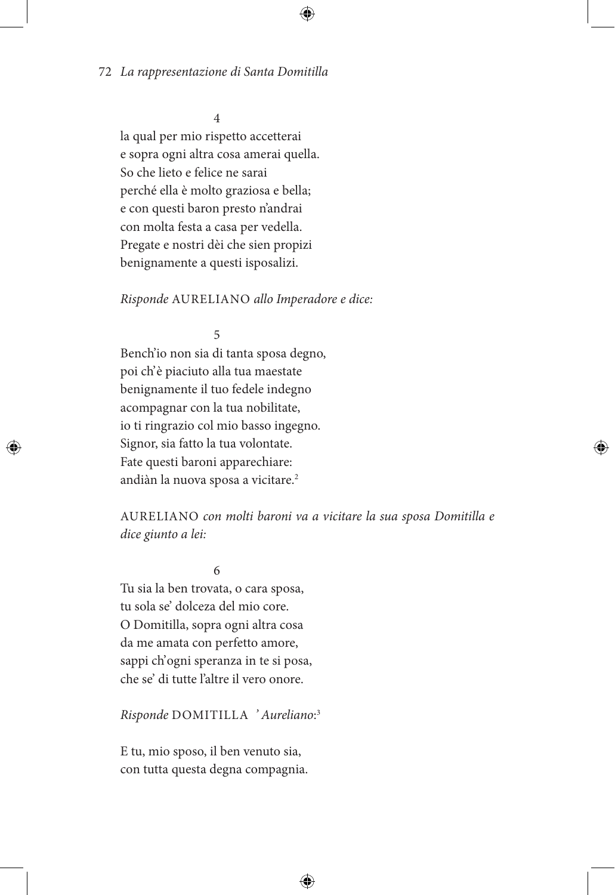## 4

la qual per mio rispetto accetterai e sopra ogni altra cosa amerai quella. So che lieto e felice ne sarai perché ella è molto graziosa e bella; e con questi baron presto n'andrai con molta festa a casa per vedella. Pregate e nostri dèi che sien propizi benignamente a questi isposalizi.

### *Risponde* AURELIANO *allo Imperadore e dice:*

# 5

Bench'io non sia di tanta sposa degno, poi ch' è piaciuto alla tua maestate benignamente il tuo fedele indegno acompagnar con la tua nobilitate, io ti ringrazio col mio basso ingegno. Signor, sia fatto la tua volontate. Fate questi baroni apparechiare: andiàn la nuova sposa a vicitare.<sup>2</sup>

AURELIANO *con molti baroni va a vicitare la sua sposa Domitilla e dice giunto a lei:* 

6

Tu sia la ben trovata, o cara sposa, tu sola se' dolceza del mio core. O Domitilla, sopra ogni altra cosa da me amata con perfetto amore, sappi ch' ogni speranza in te si posa, che se' di tutte l'altre il vero onore.

*Risponde* DOMITILLA *' Aureliano*: 3

E tu, mio sposo, il ben venuto sia, con tutta questa degna compagnia.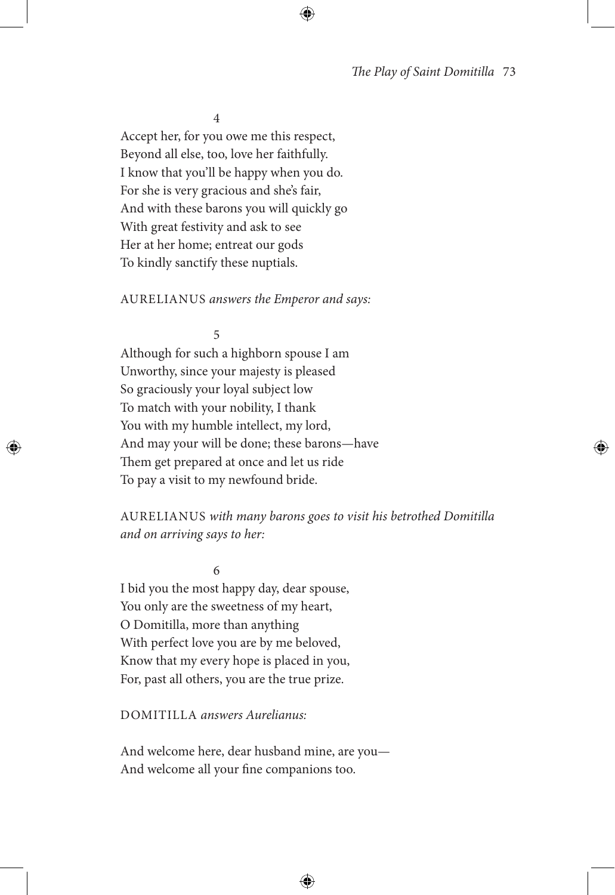4

Accept her, for you owe me this respect, Beyond all else, too, love her faithfully. I know that you'll be happy when you do. For she is very gracious and she's fair, And with these barons you will quickly go With great festivity and ask to see Her at her home; entreat our gods To kindly sanctify these nuptials.

### AURELIANUS *answers the Emperor and says:*

5

Although for such a highborn spouse I am Unworthy, since your majesty is pleased So graciously your loyal subject low To match with your nobility, I thank You with my humble intellect, my lord, And may your will be done; these barons—have Them get prepared at once and let us ride To pay a visit to my newfound bride.

AURELIANUS *with many barons goes to visit his betrothed Domitilla and on arriving says to her:*

6

I bid you the most happy day, dear spouse, You only are the sweetness of my heart, O Domitilla, more than anything With perfect love you are by me beloved, Know that my every hope is placed in you, For, past all others, you are the true prize.

DOMITILLA *answers Aurelianus:*

And welcome here, dear husband mine, are you— And welcome all your fine companions too.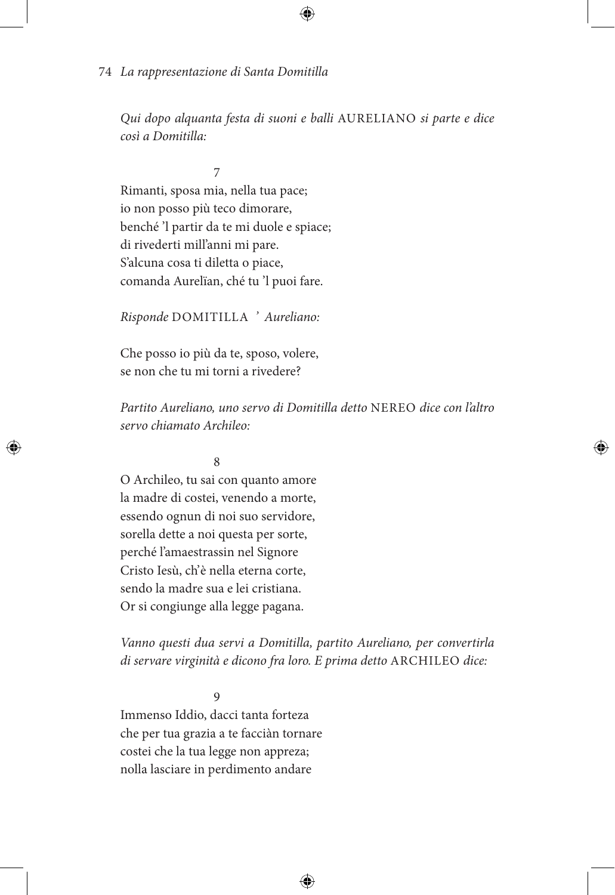*Qui dopo alquanta festa di suoni e balli* AURELIANO *si parte e dice così a Domitilla:*

 7 Rimanti, sposa mia, nella tua pace; io non posso più teco dimorare, benché 'l partir da te mi duole e spiace; di rivederti mill'anni mi pare. S'alcuna cosa ti diletta o piace, comanda Aurelïan, ché tu 'l puoi fare.

*Risponde* DOMITILLA *' Aureliano:*

Che posso io più da te, sposo, volere, se non che tu mi torni a rivedere?

*Partito Aureliano, uno servo di Domitilla detto* NEREO *dice con l'altro servo chiamato Archileo:*

# 8

O Archileo, tu sai con quanto amore la madre di costei, venendo a morte, essendo ognun di noi suo servidore, sorella dette a noi questa per sorte, perché l'amaestrassin nel Signore Cristo Iesù, ch'è nella eterna corte, sendo la madre sua e lei cristiana. Or si congiunge alla legge pagana.

*Vanno questi dua servi a Domitilla, partito Aureliano, per convertirla di servare virginità e dicono fra loro. E prima detto* ARCHILEO *dice:*

9

Immenso Iddio, dacci tanta forteza che per tua grazia a te facciàn tornare costei che la tua legge non appreza; nolla lasciare in perdimento andare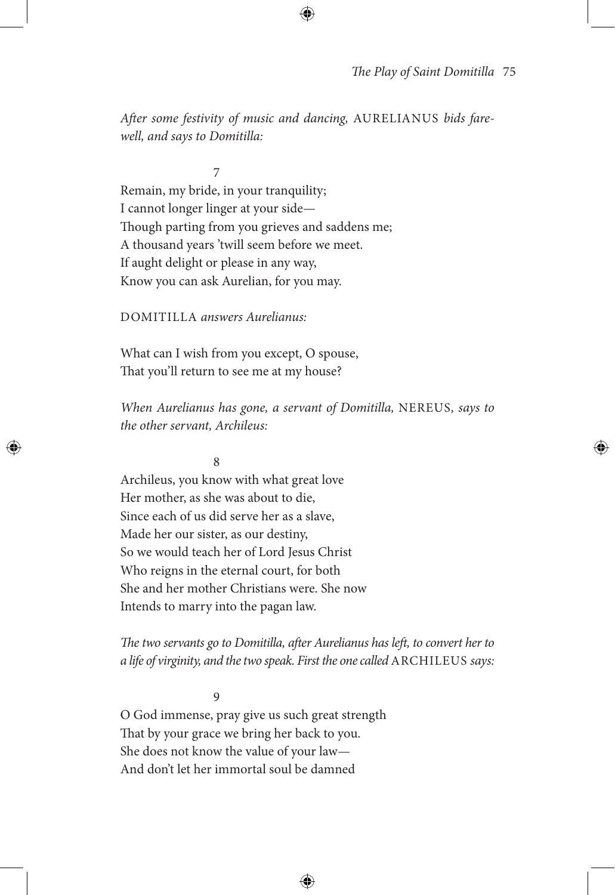*After some festivity of music and dancing,* AURELIANUS *bids farewell, and says to Domitilla:*

7 Remain, my bride, in your tranquility; I cannot longer linger at your side— Though parting from you grieves and saddens me; A thousand years 'twill seem before we meet. If aught delight or please in any way, Know you can ask Aurelian, for you may.

DOMITILLA *answers Aurelianus:*

What can I wish from you except, O spouse, That you'll return to see me at my house?

*When Aurelianus has gone, a servant of Domitilla,* NEREUS*, says to the other servant, Archileus:*

#### 8

Archileus, you know with what great love Her mother, as she was about to die, Since each of us did serve her as a slave, Made her our sister, as our destiny, So we would teach her of Lord Jesus Christ Who reigns in the eternal court, for both She and her mother Christians were. She now Intends to marry into the pagan law.

*The two servants go to Domitilla, after Aurelianus has left, to convert her to a life of virginity, and the two speak. First the one called* ARCHILEUS *says:*

9

O God immense, pray give us such great strength That by your grace we bring her back to you. She does not know the value of your law— And don't let her immortal soul be damned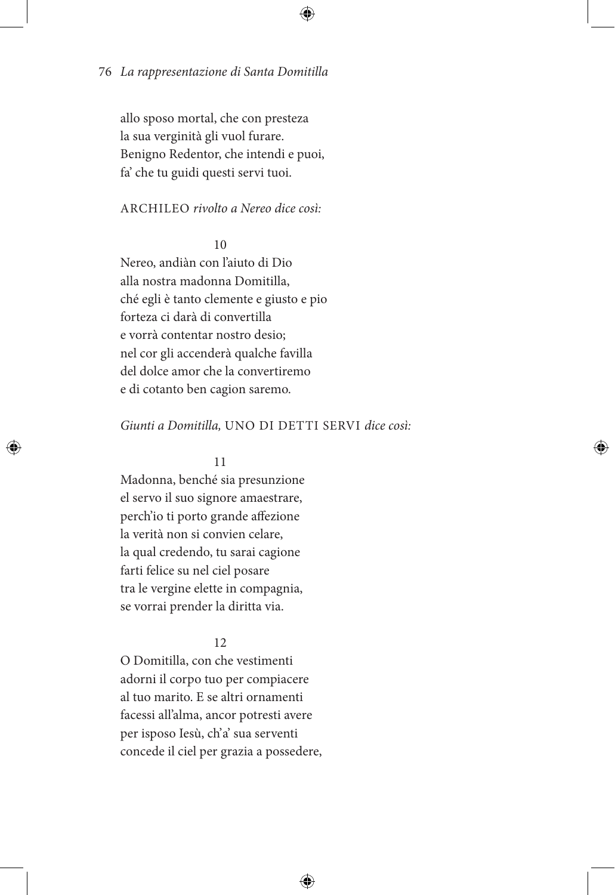allo sposo mortal, che con presteza la sua verginità gli vuol furare. Benigno Redentor, che intendi e puoi, fa' che tu guidi questi servi tuoi.

### ARCHILEO *rivolto a Nereo dice così:*

# 10

Nereo, andiàn con l'aiuto di Dio alla nostra madonna Domitilla, ché egli è tanto clemente e giusto e pio forteza ci darà di convertilla e vorrà contentar nostro desio; nel cor gli accenderà qualche favilla del dolce amor che la convertiremo e di cotanto ben cagion saremo.

### *Giunti a Domitilla,* UNO DI DETTI SERVI *dice così:*

### 11

Madonna, benché sia presunzione el servo il suo signore amaestrare, perch'io ti porto grande affezione la verità non si convien celare, la qual credendo, tu sarai cagione farti felice su nel ciel posare tra le vergine elette in compagnia, se vorrai prender la diritta via.

### 12

O Domitilla, con che vestimenti adorni il corpo tuo per compiacere al tuo marito. E se altri ornamenti facessi all'alma, ancor potresti avere per isposo Iesù, ch'a' sua serventi concede il ciel per grazia a possedere,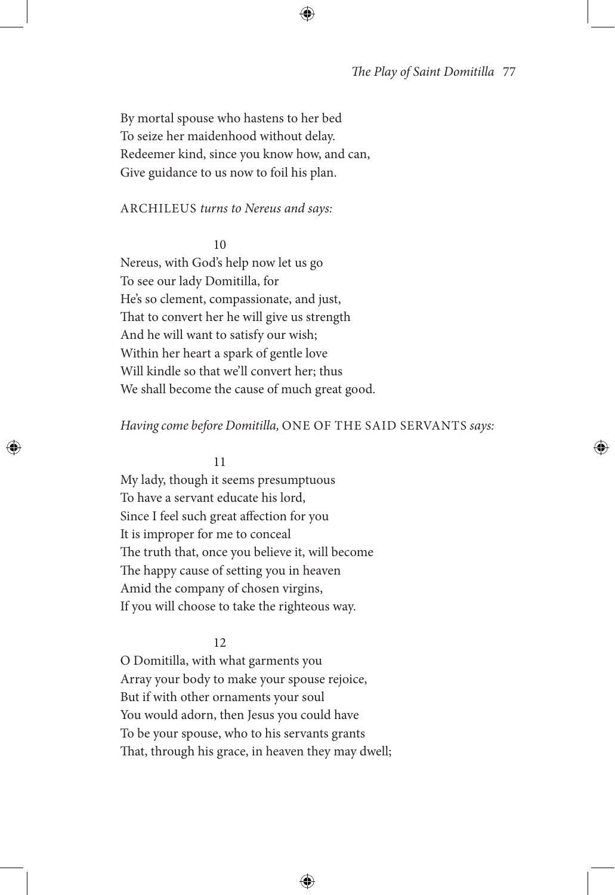By mortal spouse who hastens to her bed To seize her maidenhood without delay. Redeemer kind, since you know how, and can, Give guidance to us now to foil his plan.

### ARCHILEUS *turns to Nereus and says:*

#### 10

Nereus, with God's help now let us go To see our lady Domitilla, for He's so clement, compassionate, and just, That to convert her he will give us strength And he will want to satisfy our wish; Within her heart a spark of gentle love Will kindle so that we'll convert her; thus We shall become the cause of much great good.

### *Having come before Domitilla,* ONE OF THE SAID SERVANTS *says:*

#### 11

My lady, though it seems presumptuous To have a servant educate his lord, Since I feel such great affection for you It is improper for me to conceal The truth that, once you believe it, will become The happy cause of setting you in heaven Amid the company of chosen virgins, If you will choose to take the righteous way.

### 12

O Domitilla, with what garments you Array your body to make your spouse rejoice, But if with other ornaments your soul You would adorn, then Jesus you could have To be your spouse, who to his servants grants That, through his grace, in heaven they may dwell;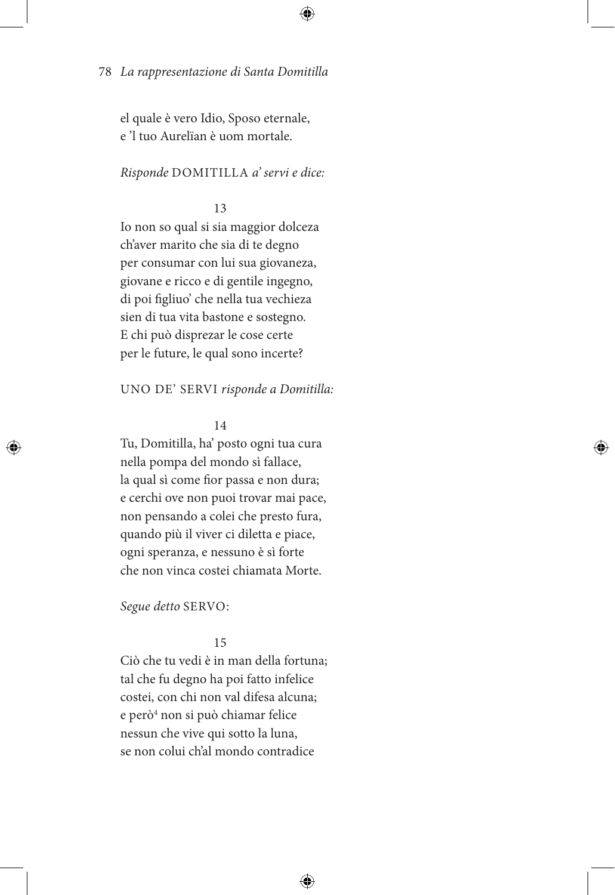el quale è vero Idio, Sposo eternale, e 'l tuo Aurelïan è uom mortale.

*Risponde* DOMITILLA *a' servi e dice:*

# 13

Io non so qual si sia maggior dolceza ch'aver marito che sia di te degno per consumar con lui sua giovaneza, giovane e ricco e di gentile ingegno, di poi figliuo' che nella tua vechieza sien di tua vita bastone e sostegno. E chi può disprezar le cose certe per le future, le qual sono incerte?

UNO DE' SERVI *risponde a Domitilla:*

# 14

Tu, Domitilla, ha' posto ogni tua cura nella pompa del mondo sì fallace, la qual sì come fior passa e non dura; e cerchi ove non puoi trovar mai pace, non pensando a colei che presto fura, quando più il viver ci diletta e piace, ogni speranza, e nessuno è sì forte che non vinca costei chiamata Morte.

*Segue detto* SERVO:

### 15

Ciò che tu vedi è in man della fortuna; tal che fu degno ha poi fatto infelice costei, con chi non val difesa alcuna; e però<sup>4</sup> non si può chiamar felice nessun che vive qui sotto la luna, se non colui ch'al mondo contradice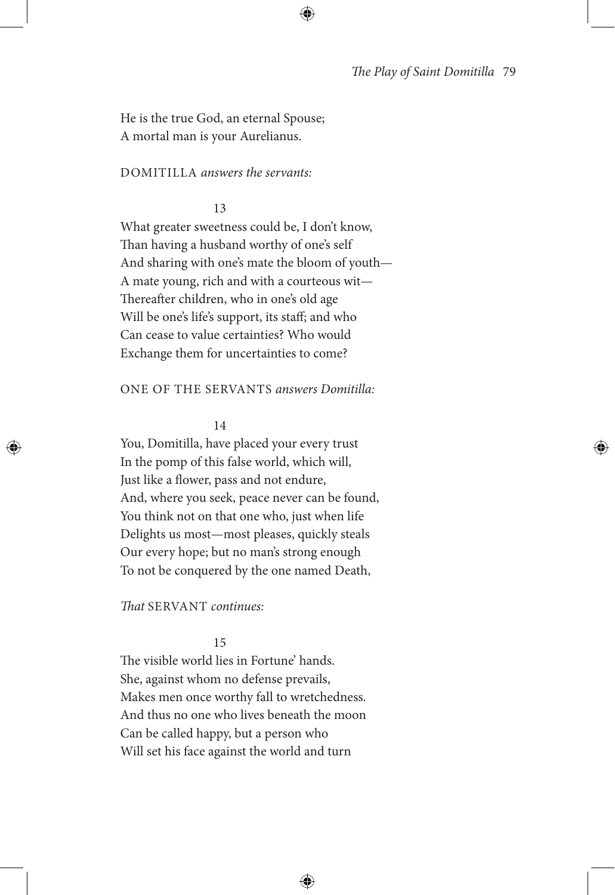He is the true God, an eternal Spouse; A mortal man is your Aurelianus.

### DOMITILLA *answers the servants:*

#### 13

What greater sweetness could be, I don't know, Than having a husband worthy of one's self And sharing with one's mate the bloom of youth— A mate young, rich and with a courteous wit— Thereafter children, who in one's old age Will be one's life's support, its staff; and who Can cease to value certainties? Who would Exchange them for uncertainties to come?

#### ONE OF THE SERVANTS *answers Domitilla:*

#### 14

You, Domitilla, have placed your every trust In the pomp of this false world, which will, Just like a flower, pass and not endure, And, where you seek, peace never can be found, You think not on that one who, just when life Delights us most—most pleases, quickly steals Our every hope; but no man's strong enough To not be conquered by the one named Death,

### *That* SERVANT *continues:*

### 15

The visible world lies in Fortune' hands. She, against whom no defense prevails, Makes men once worthy fall to wretchedness. And thus no one who lives beneath the moon Can be called happy, but a person who Will set his face against the world and turn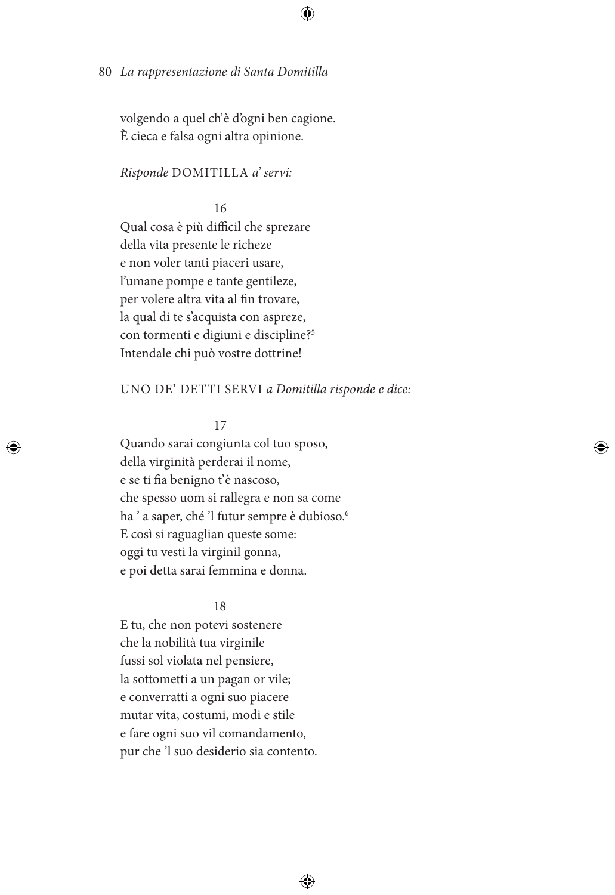volgendo a quel ch'è d'ogni ben cagione. È cieca e falsa ogni altra opinione.

### *Risponde* DOMITILLA *a' servi:*

16

Qual cosa è più difficil che sprezare della vita presente le richeze e non voler tanti piaceri usare, l'umane pompe e tante gentileze, per volere altra vita al fin trovare, la qual di te s'acquista con aspreze, con tormenti e digiuni e discipline?5 Intendale chi può vostre dottrine!

### UNO DE' DETTI SERVI *a Domitilla risponde e dice:*

17

Quando sarai congiunta col tuo sposo, della virginità perderai il nome, e se ti fia benigno t'è nascoso, che spesso uom si rallegra e non sa come ha ' a saper, ché 'l futur sempre è dubioso.<sup>6</sup> E così si raguaglian queste some: oggi tu vesti la virginil gonna, e poi detta sarai femmina e donna.

#### 18

E tu, che non potevi sostenere che la nobilità tua virginile fussi sol violata nel pensiere, la sottometti a un pagan or vile; e converratti a ogni suo piacere mutar vita, costumi, modi e stile e fare ogni suo vil comandamento, pur che 'l suo desiderio sia contento.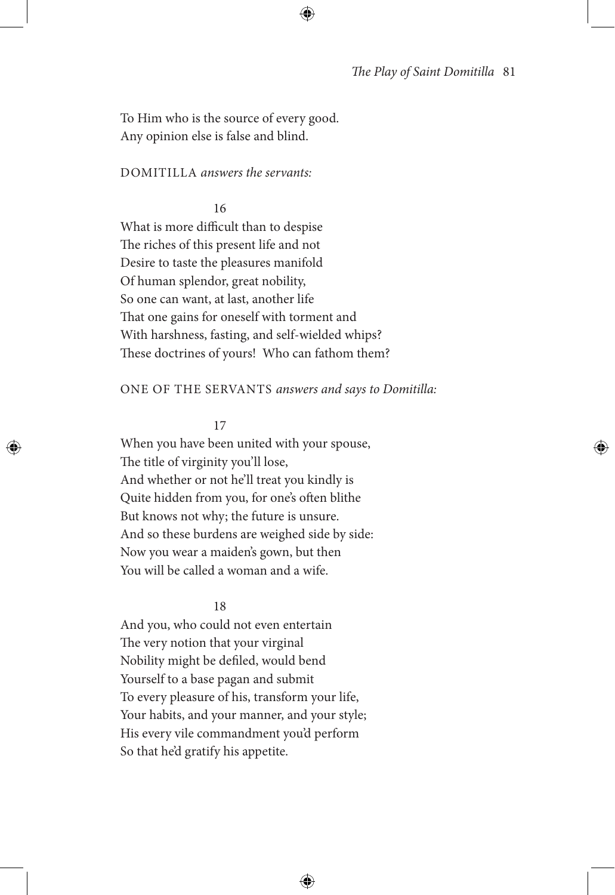To Him who is the source of every good. Any opinion else is false and blind.

### DOMITILLA *answers the servants:*

#### 16

What is more difficult than to despise The riches of this present life and not Desire to taste the pleasures manifold Of human splendor, great nobility, So one can want, at last, another life That one gains for oneself with torment and With harshness, fasting, and self-wielded whips? These doctrines of yours! Who can fathom them?

#### ONE OF THE SERVANTS *answers and says to Domitilla:*

#### 17

When you have been united with your spouse, The title of virginity you'll lose, And whether or not he'll treat you kindly is Quite hidden from you, for one's often blithe But knows not why; the future is unsure. And so these burdens are weighed side by side: Now you wear a maiden's gown, but then You will be called a woman and a wife.

### 18

And you, who could not even entertain The very notion that your virginal Nobility might be defiled, would bend Yourself to a base pagan and submit To every pleasure of his, transform your life, Your habits, and your manner, and your style; His every vile commandment you'd perform So that he'd gratify his appetite.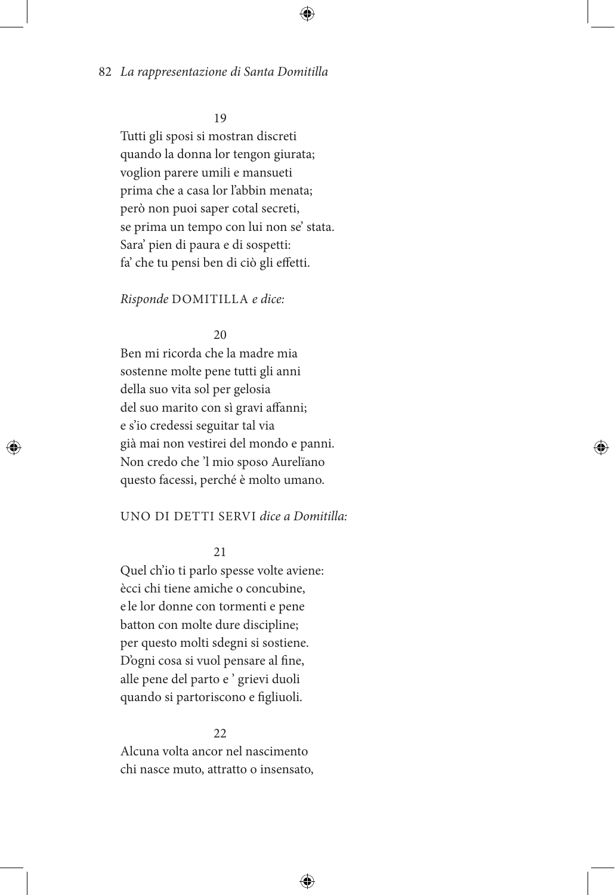# 19

Tutti gli sposi si mostran discreti quando la donna lor tengon giurata; voglion parere umili e mansueti prima che a casa lor l'abbin menata; però non puoi saper cotal secreti, se prima un tempo con lui non se' stata. Sara' pien di paura e di sospetti: fa' che tu pensi ben di ciò gli effetti.

### *Risponde* DOMITILLA *e dice:*

### 20

Ben mi ricorda che la madre mia sostenne molte pene tutti gli anni della suo vita sol per gelosia del suo marito con sì gravi affanni; e s'io credessi seguitar tal via già mai non vestirei del mondo e panni. Non credo che 'l mio sposo Aurelïano questo facessi, perché è molto umano.

### UNO DI DETTI SERVI *dice a Domitilla:*

21

Quel ch'io ti parlo spesse volte aviene: ècci chi tiene amiche o concubine, e le lor donne con tormenti e pene batton con molte dure discipline; per questo molti sdegni si sostiene. D'ogni cosa si vuol pensare al fine, alle pene del parto e ' grievi duoli quando si partoriscono e figliuoli.

### 22

Alcuna volta ancor nel nascimento chi nasce muto, attratto o insensato,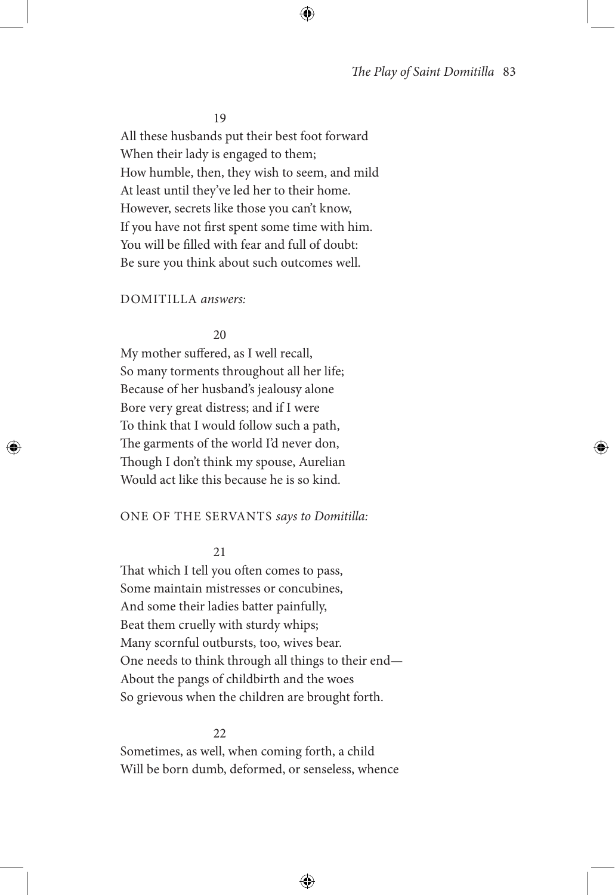19

All these husbands put their best foot forward When their lady is engaged to them; How humble, then, they wish to seem, and mild At least until they've led her to their home. However, secrets like those you can't know, If you have not first spent some time with him. You will be filled with fear and full of doubt: Be sure you think about such outcomes well.

### DOMITILLA *answers:*

#### 20

My mother suffered, as I well recall, So many torments throughout all her life; Because of her husband's jealousy alone Bore very great distress; and if I were To think that I would follow such a path, The garments of the world I'd never don, Though I don't think my spouse, Aurelian Would act like this because he is so kind.

#### ONE OF THE SERVANTS *says to Domitilla:*

21

That which I tell you often comes to pass, Some maintain mistresses or concubines, And some their ladies batter painfully, Beat them cruelly with sturdy whips; Many scornful outbursts, too, wives bear. One needs to think through all things to their end— About the pangs of childbirth and the woes So grievous when the children are brought forth.

22

Sometimes, as well, when coming forth, a child Will be born dumb, deformed, or senseless, whence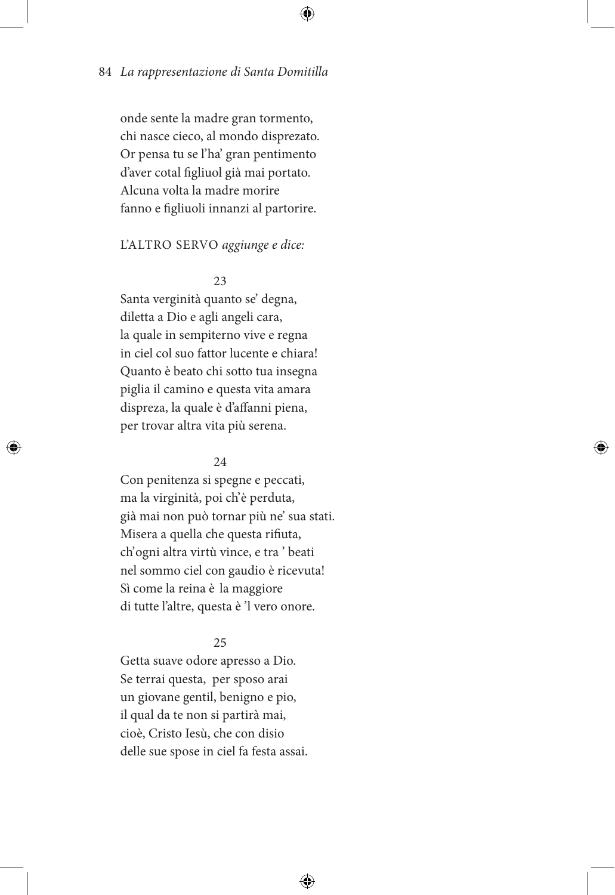onde sente la madre gran tormento, chi nasce cieco, al mondo disprezato. Or pensa tu se l'ha' gran pentimento d'aver cotal figliuol già mai portato. Alcuna volta la madre morire fanno e figliuoli innanzi al partorire.

### L'ALTRO SERVO *aggiunge e dice:*

23

Santa verginità quanto se' degna, diletta a Dio e agli angeli cara, la quale in sempiterno vive e regna in ciel col suo fattor lucente e chiara! Quanto è beato chi sotto tua insegna piglia il camino e questa vita amara dispreza, la quale è d'affanni piena, per trovar altra vita più serena.

# 24

Con penitenza si spegne e peccati, ma la virginità, poi ch'è perduta, già mai non può tornar più ne' sua stati. Misera a quella che questa rifiuta, ch' ogni altra virtù vince, e tra ' beati nel sommo ciel con gaudio è ricevuta! Sì come la reina è la maggiore di tutte l'altre, questa è 'l vero onore.

### 25

Getta suave odore apresso a Dio. Se terrai questa, per sposo arai un giovane gentil, benigno e pio, il qual da te non si partirà mai, cioè, Cristo Iesù, che con disio delle sue spose in ciel fa festa assai.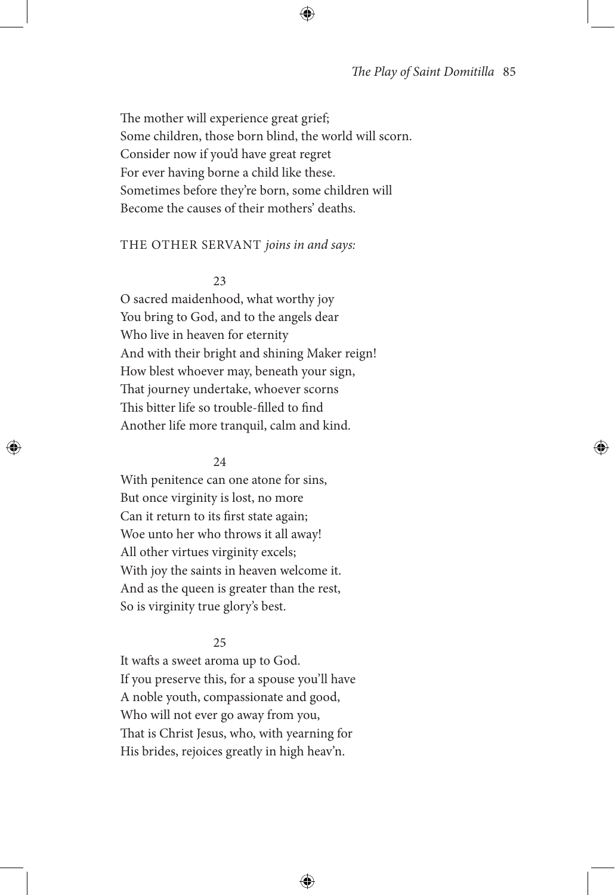The mother will experience great grief; Some children, those born blind, the world will scorn. Consider now if you'd have great regret For ever having borne a child like these. Sometimes before they're born, some children will Become the causes of their mothers' deaths.

#### THE OTHER SERVANT *joins in and says:*

23

O sacred maidenhood, what worthy joy You bring to God, and to the angels dear Who live in heaven for eternity And with their bright and shining Maker reign! How blest whoever may, beneath your sign, That journey undertake, whoever scorns This bitter life so trouble-filled to find Another life more tranquil, calm and kind.

#### 24

With penitence can one atone for sins, But once virginity is lost, no more Can it return to its first state again; Woe unto her who throws it all away! All other virtues virginity excels; With joy the saints in heaven welcome it. And as the queen is greater than the rest, So is virginity true glory's best.

#### 25

It wafts a sweet aroma up to God. If you preserve this, for a spouse you'll have A noble youth, compassionate and good, Who will not ever go away from you, That is Christ Jesus, who, with yearning for His brides, rejoices greatly in high heav'n.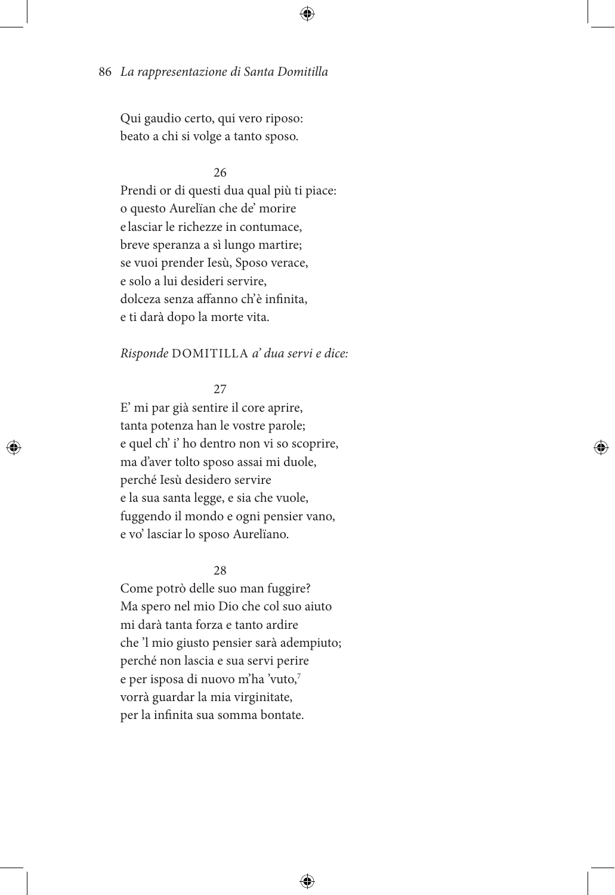Qui gaudio certo, qui vero riposo: beato a chi si volge a tanto sposo.

# 26

Prendi or di questi dua qual più ti piace: o questo Aurelïan che de' morire e lasciar le richezze in contumace, breve speranza a sì lungo martire; se vuoi prender Iesù, Sposo verace, e solo a lui desideri servire, dolceza senza affanno ch'è infinita, e ti darà dopo la morte vita.

### *Risponde* DOMITILLA *a' dua servi e dice:*

# 27

E' mi par già sentire il core aprire, tanta potenza han le vostre parole; e quel ch' i' ho dentro non vi so scoprire, ma d'aver tolto sposo assai mi duole, perché Iesù desidero servire e la sua santa legge, e sia che vuole, fuggendo il mondo e ogni pensier vano, e vo' lasciar lo sposo Aurelïano.

### 28

Come potrò delle suo man fuggire? Ma spero nel mio Dio che col suo aiuto mi darà tanta forza e tanto ardire che 'l mio giusto pensier sarà adempiuto; perché non lascia e sua servi perire e per isposa di nuovo m'ha 'vuto,7 vorrà guardar la mia virginitate, per la infinita sua somma bontate.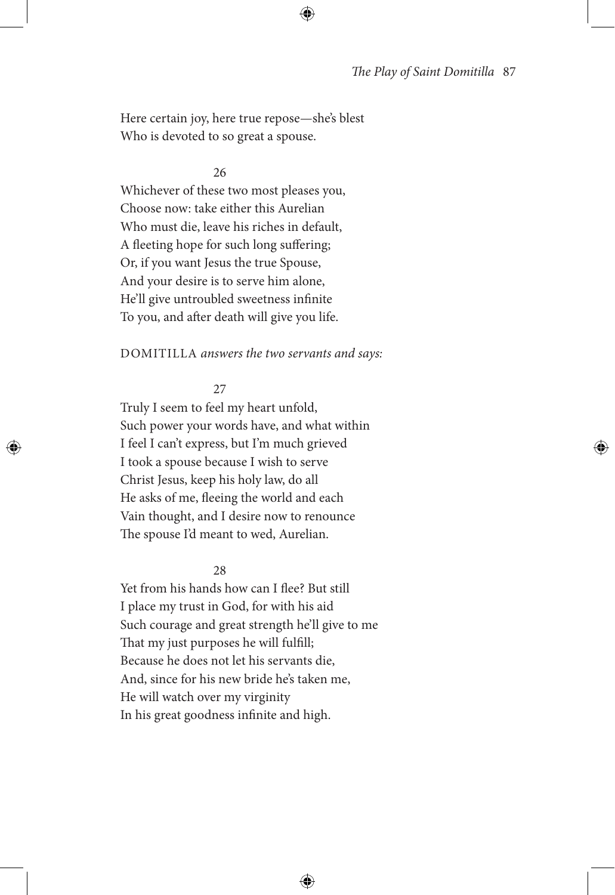Here certain joy, here true repose—she's blest Who is devoted to so great a spouse.

#### 26

Whichever of these two most pleases you, Choose now: take either this Aurelian Who must die, leave his riches in default, A fleeting hope for such long suffering; Or, if you want Jesus the true Spouse, And your desire is to serve him alone, He'll give untroubled sweetness infinite To you, and after death will give you life.

### DOMITILLA *answers the two servants and says:*

#### 27

Truly I seem to feel my heart unfold, Such power your words have, and what within I feel I can't express, but I'm much grieved I took a spouse because I wish to serve Christ Jesus, keep his holy law, do all He asks of me, fleeing the world and each Vain thought, and I desire now to renounce The spouse I'd meant to wed, Aurelian.

### $28$

Yet from his hands how can I flee? But still I place my trust in God, for with his aid Such courage and great strength he'll give to me That my just purposes he will fulfill; Because he does not let his servants die, And, since for his new bride he's taken me, He will watch over my virginity In his great goodness infinite and high.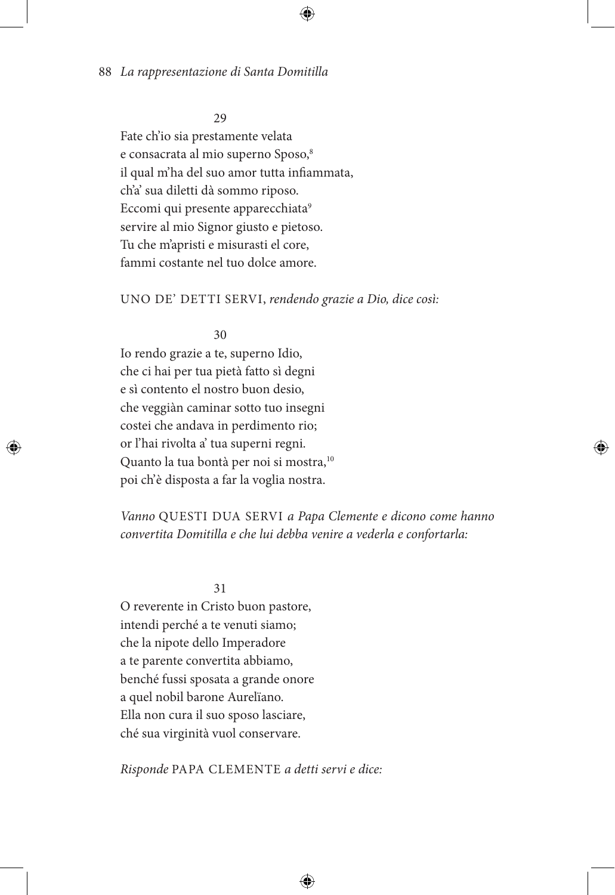#### 29

Fate ch'io sia prestamente velata e consacrata al mio superno Sposo,<sup>8</sup> il qual m'ha del suo amor tutta infiammata, ch'a' sua diletti dà sommo riposo. Eccomi qui presente apparecchiata<sup>9</sup> servire al mio Signor giusto e pietoso. Tu che m'apristi e misurasti el core, fammi costante nel tuo dolce amore.

### UNO DE' DETTI SERVI, *rendendo grazie a Dio, dice così:*

# 30

Io rendo grazie a te, superno Idio, che ci hai per tua pietà fatto sì degni e sì contento el nostro buon desio, che veggiàn caminar sotto tuo insegni costei che andava in perdimento rio; or l'hai rivolta a' tua superni regni. Quanto la tua bontà per noi si mostra,<sup>10</sup> poi ch' è disposta a far la voglia nostra.

# *Vanno* QUESTI DUA SERVI *a Papa Clemente e dicono come hanno convertita Domitilla e che lui debba venire a vederla e confortarla:*

31

O reverente in Cristo buon pastore, intendi perché a te venuti siamo; che la nipote dello Imperadore a te parente convertita abbiamo, benché fussi sposata a grande onore a quel nobil barone Aurelïano. Ella non cura il suo sposo lasciare, ché sua virginità vuol conservare.

*Risponde* PAPA CLEMENTE *a detti servi e dice:*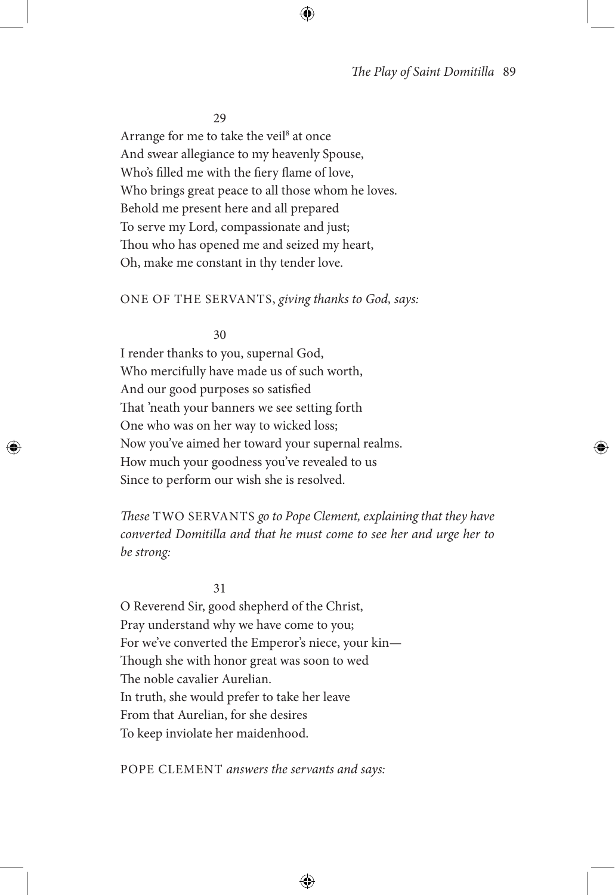29

Arrange for me to take the veil<sup>8</sup> at once And swear allegiance to my heavenly Spouse, Who's filled me with the fiery flame of love, Who brings great peace to all those whom he loves. Behold me present here and all prepared To serve my Lord, compassionate and just; Thou who has opened me and seized my heart, Oh, make me constant in thy tender love.

### ONE OF THE SERVANTS, *giving thanks to God, says:*

#### 30

I render thanks to you, supernal God, Who mercifully have made us of such worth, And our good purposes so satisfied That 'neath your banners we see setting forth One who was on her way to wicked loss; Now you've aimed her toward your supernal realms. How much your goodness you've revealed to us Since to perform our wish she is resolved.

*These* TWO SERVANTS *go to Pope Clement, explaining that they have converted Domitilla and that he must come to see her and urge her to be strong:*

31

O Reverend Sir, good shepherd of the Christ, Pray understand why we have come to you; For we've converted the Emperor's niece, your kin— Though she with honor great was soon to wed The noble cavalier Aurelian. In truth, she would prefer to take her leave From that Aurelian, for she desires To keep inviolate her maidenhood.

POPE CLEMENT *answers the servants and says:*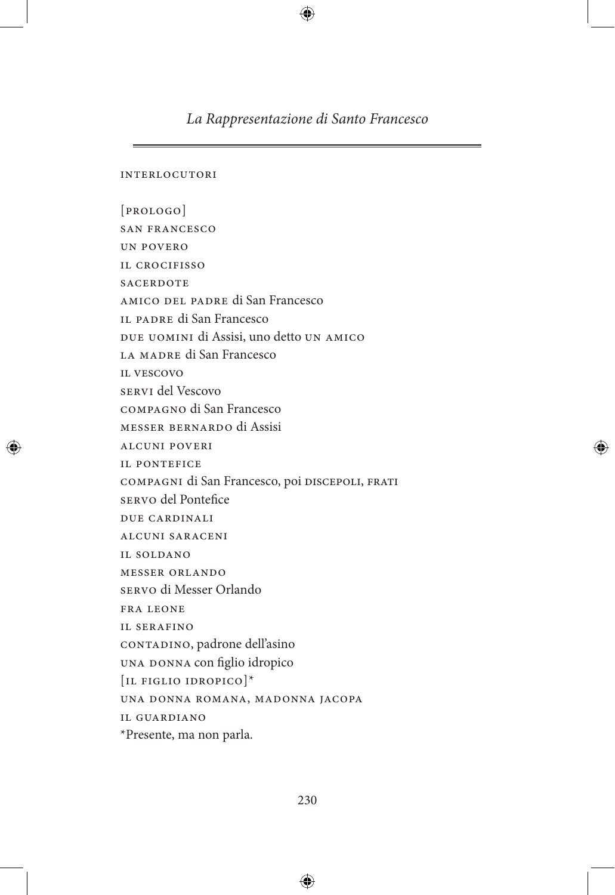*La Rappresentazione di Santo Francesco*

interlocutori

[prologo] san francesco un povero il crocifisso **SACERDOTE** amico del padre di San Francesco il padre di San Francesco due uomini di Assisi, uno detto un amico la madre di San Francesco il vescovo servi del Vescovo compagno di San Francesco messer bernardo di Assisi alcuni poveri il pontefice compagni di San Francesco, poi discepoli, frati servo del Pontefice due cardinali alcuni saraceni il soldano messer orlando servo di Messer Orlando fra leone il serafino contadino, padrone dell'asino una donna con figlio idropico [il figlio idropico]\* una donna romana, madonna jacopa il guardiano \*Presente, ma non parla.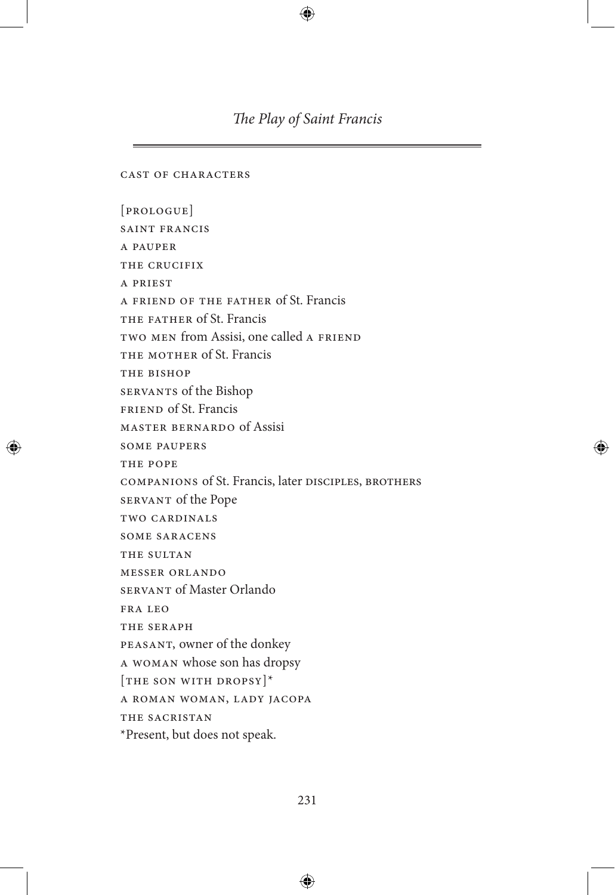cast of characters

[prologue] saint francis a pauper THE CRUCIFIX a priest a friend of the father of St. Francis THE FATHER of St. Francis two men from Assisi, one called a friend THE MOTHER of St. Francis THE BISHOP servants of the Bishop friend of St. Francis master bernardo of Assisi some paupers THE POPE companions of St. Francis, later disciples, brothers servant of the Pope two cardinals some saracens THE SULTAN messer orlando servant of Master Orlando fra leo THE SERAPH peasant, owner of the donkey a woman whose son has dropsy [THE SON WITH DROPSY]\* a roman woman, lady jacopa THE SACRISTAN \*Present, but does not speak.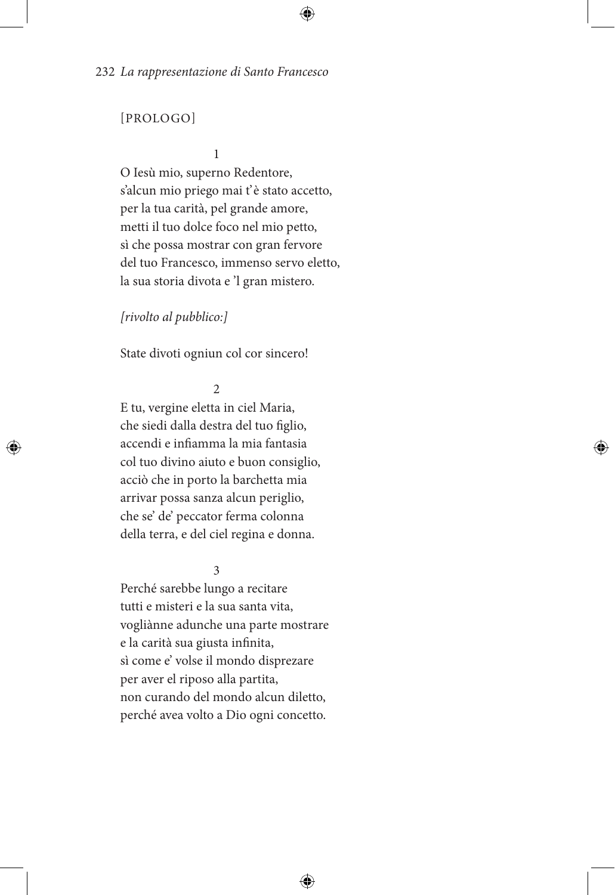# [PROLOGO]

#### 1

O Iesù mio, superno Redentore, s'alcun mio priego mai t'è stato accetto, per la tua carità, pel grande amore, metti il tuo dolce foco nel mio petto, sì che possa mostrar con gran fervore del tuo Francesco, immenso servo eletto, la sua storia divota e 'l gran mistero.

### *[rivolto al pubblico:]*

State divoti ogniun col cor sincero!

#### $\overline{2}$

E tu, vergine eletta in ciel Maria, che siedi dalla destra del tuo figlio, accendi e infiamma la mia fantasia col tuo divino aiuto e buon consiglio, acciò che in porto la barchetta mia arrivar possa sanza alcun periglio, che se' de' peccator ferma colonna della terra, e del ciel regina e donna.

3

Perché sarebbe lungo a recitare tutti e misteri e la sua santa vita, vogliànne adunche una parte mostrare e la carità sua giusta infinita, sì come e' volse il mondo disprezare per aver el riposo alla partita, non curando del mondo alcun diletto, perché avea volto a Dio ogni concetto.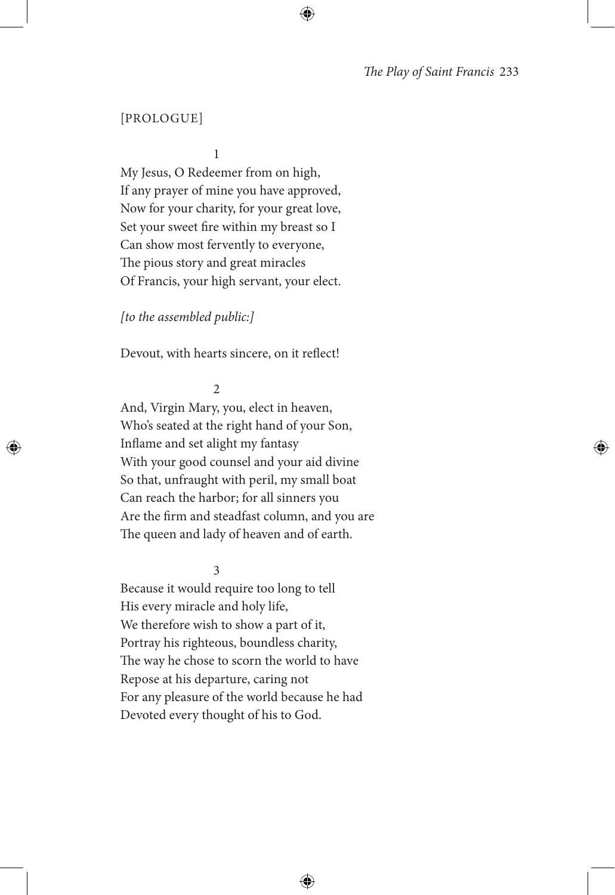### [PROLOGUE]

1

My Jesus, O Redeemer from on high, If any prayer of mine you have approved, Now for your charity, for your great love, Set your sweet fire within my breast so I Can show most fervently to everyone, The pious story and great miracles Of Francis, your high servant, your elect.

### *[to the assembled public:]*

Devout, with hearts sincere, on it reflect!

 $\overline{2}$ 

And, Virgin Mary, you, elect in heaven, Who's seated at the right hand of your Son, Inflame and set alight my fantasy With your good counsel and your aid divine So that, unfraught with peril, my small boat Can reach the harbor; for all sinners you Are the firm and steadfast column, and you are The queen and lady of heaven and of earth.

3

Because it would require too long to tell His every miracle and holy life, We therefore wish to show a part of it, Portray his righteous, boundless charity, The way he chose to scorn the world to have Repose at his departure, caring not For any pleasure of the world because he had Devoted every thought of his to God.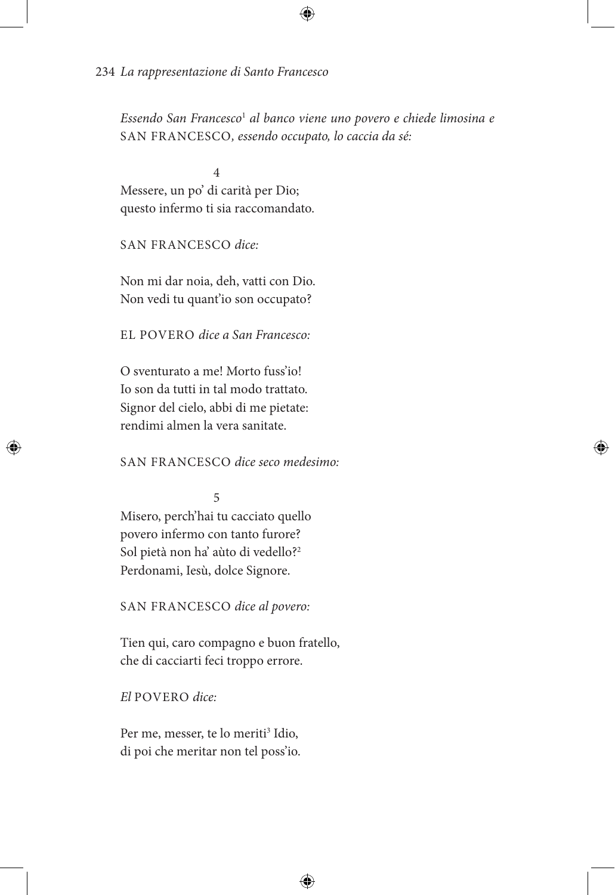*Essendo San Francesco*<sup>1</sup> *al banco viene uno povero e chiede limosina e*  SAN FRANCESCO*, essendo occupato, lo caccia da sé:*

4 Messere, un po' di carità per Dio; questo infermo ti sia raccomandato.

SAN FRANCESCO *dice:*

Non mi dar noia, deh, vatti con Dio. Non vedi tu quant'io son occupato?

EL POVERO *dice a San Francesco:*

O sventurato a me! Morto fuss'io! Io son da tutti in tal modo trattato. Signor del cielo, abbi di me pietate: rendimi almen la vera sanitate.

SAN FRANCESCO *dice seco medesimo:*

5

Misero, perch'hai tu cacciato quello povero infermo con tanto furore? Sol pietà non ha' aùto di vedello?2 Perdonami, Iesù, dolce Signore.

SAN FRANCESCO *dice al povero:*

Tien qui, caro compagno e buon fratello, che di cacciarti feci troppo errore.

*El* POVERO *dice:*

Per me, messer, te lo meriti<sup>3</sup> Idio, di poi che meritar non tel poss'io.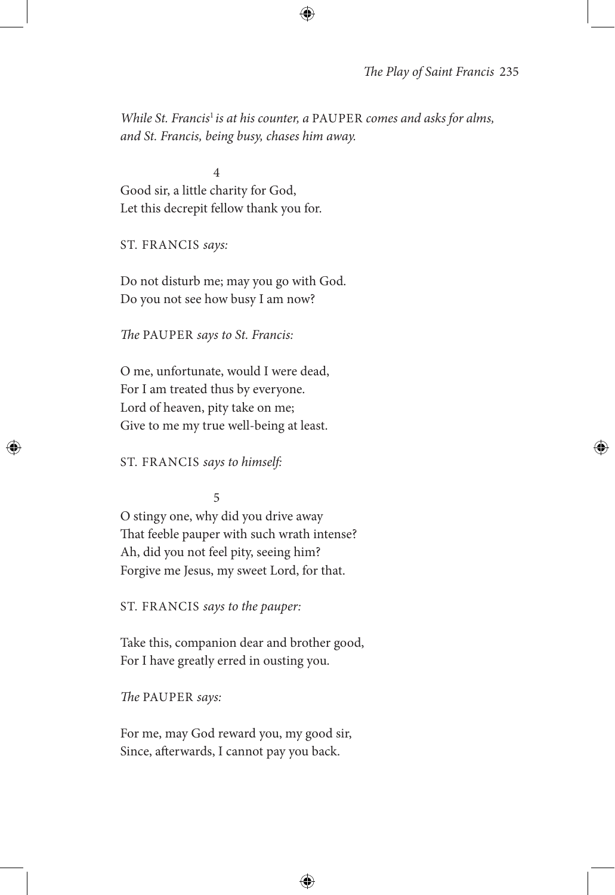*While St. Francis*<sup>1</sup>*is at his counter, a* PAUPER *comes and asks for alms, and St. Francis, being busy, chases him away.*

4 Good sir, a little charity for God, Let this decrepit fellow thank you for.

ST. FRANCIS *says:*

Do not disturb me; may you go with God. Do you not see how busy I am now?

*The* PAUPER *says to St. Francis:*

O me, unfortunate, would I were dead, For I am treated thus by everyone. Lord of heaven, pity take on me; Give to me my true well-being at least.

ST. FRANCIS *says to himself:*

5

O stingy one, why did you drive away That feeble pauper with such wrath intense? Ah, did you not feel pity, seeing him? Forgive me Jesus, my sweet Lord, for that.

ST. FRANCIS *says to the pauper:*

Take this, companion dear and brother good, For I have greatly erred in ousting you.

*The* PAUPER *says:*

For me, may God reward you, my good sir, Since, afterwards, I cannot pay you back.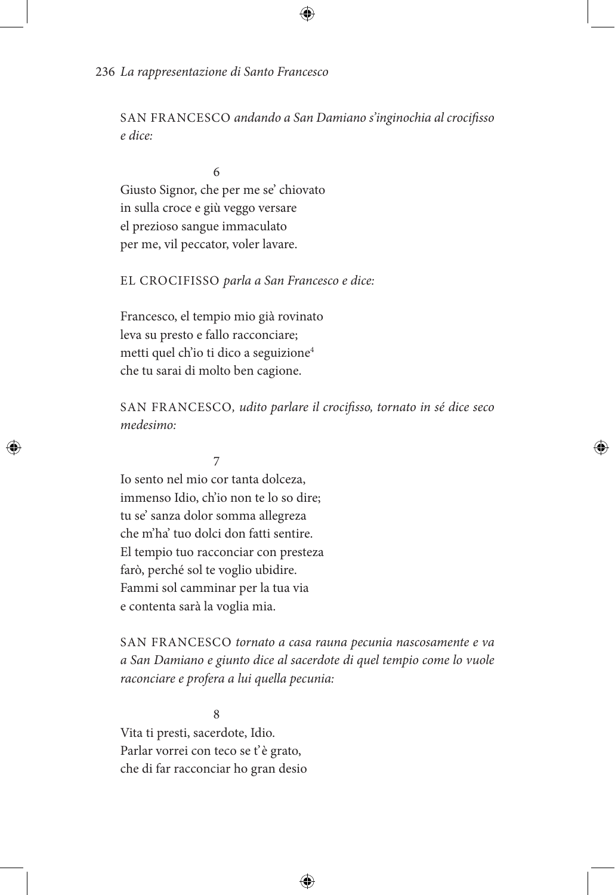SAN FRANCESCO *andando a San Damiano s'inginochia al crocifisso e dice:*

6 Giusto Signor, che per me se' chiovato in sulla croce e giù veggo versare el prezioso sangue immaculato per me, vil peccator, voler lavare.

# EL CROCIFISSO *parla a San Francesco e dice:*

Francesco, el tempio mio già rovinato leva su presto e fallo racconciare; metti quel ch'io ti dico a seguizione<sup>4</sup> che tu sarai di molto ben cagione.

SAN FRANCESCO*, udito parlare il crocifisso, tornato in sé dice seco medesimo:*

# 7

Io sento nel mio cor tanta dolceza, immenso Idio, ch'io non te lo so dire; tu se' sanza dolor somma allegreza che m'ha' tuo dolci don fatti sentire. El tempio tuo racconciar con presteza farò, perché sol te voglio ubidire. Fammi sol camminar per la tua via e contenta sarà la voglia mia.

SAN FRANCESCO *tornato a casa rauna pecunia nascosamente e va a San Damiano e giunto dice al sacerdote di quel tempio come lo vuole raconciare e profera a lui quella pecunia:*

8 Vita ti presti, sacerdote, Idio. Parlar vorrei con teco se t'è grato, che di far racconciar ho gran desio